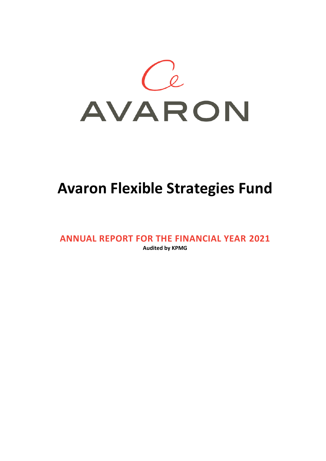

# **Avaron Flexible Strategies Fund**

**ANNUAL REPORT FOR THE FINANCIAL YEAR 2021 Audited by KPMG**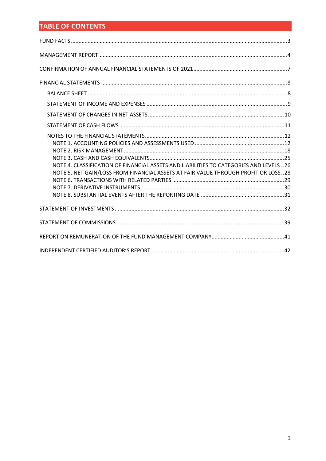## **TABLE OF CONTENTS**

| NOTE 4. CLASSIFICATION OF FINANCIAL ASSETS AND LIABILITIES TO CATEGORIES AND LEVELS 26<br>NOTE 5. NET GAIN/LOSS FROM FINANCIAL ASSETS AT FAIR VALUE THROUGH PROFIT OR LOSS28 |
|------------------------------------------------------------------------------------------------------------------------------------------------------------------------------|
|                                                                                                                                                                              |
|                                                                                                                                                                              |
|                                                                                                                                                                              |
|                                                                                                                                                                              |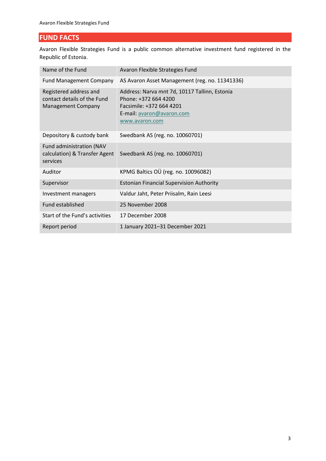## <span id="page-2-0"></span>**FUND FACTS**

Avaron Flexible Strategies Fund is a public common alternative investment fund registered in the Republic of Estonia.

| Name of the Fund                                                                   | Avaron Flexible Strategies Fund                                                                                                                  |
|------------------------------------------------------------------------------------|--------------------------------------------------------------------------------------------------------------------------------------------------|
| <b>Fund Management Company</b>                                                     | AS Avaron Asset Management (reg. no. 11341336)                                                                                                   |
| Registered address and<br>contact details of the Fund<br><b>Management Company</b> | Address: Narva mnt 7d, 10117 Tallinn, Estonia<br>Phone: +372 664 4200<br>Facsimile: +372 664 4201<br>E-mail: avaron@avaron.com<br>www.avaron.com |
| Depository & custody bank                                                          | Swedbank AS (reg. no. 10060701)                                                                                                                  |
| Fund administration (NAV<br>calculation) & Transfer Agent<br>services              | Swedbank AS (reg. no. 10060701)                                                                                                                  |
| Auditor                                                                            | KPMG Baltics OÜ (reg. no. 10096082)                                                                                                              |
| Supervisor                                                                         | <b>Estonian Financial Supervision Authority</b>                                                                                                  |
| Investment managers                                                                | Valdur Jaht, Peter Priisalm, Rain Leesi                                                                                                          |
| Fund established                                                                   | 25 November 2008                                                                                                                                 |
| Start of the Fund's activities                                                     | 17 December 2008                                                                                                                                 |
| Report period                                                                      | 1 January 2021-31 December 2021                                                                                                                  |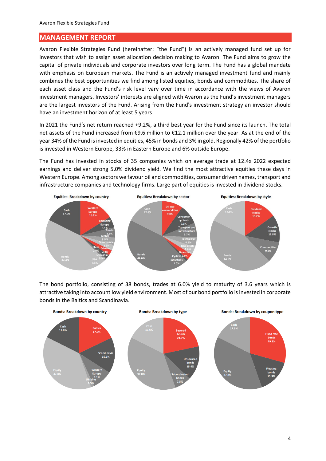## <span id="page-3-0"></span>**MANAGEMENT REPORT**

Avaron Flexible Strategies Fund (hereinafter: "the Fund") is an actively managed fund set up for investors that wish to assign asset allocation decision making to Avaron. The Fund aims to grow the capital of private individuals and corporate investors over long term. The Fund has a global mandate with emphasis on European markets. The Fund is an actively managed investment fund and mainly combines the best opportunities we find among listed equities, bonds and commodities. The share of each asset class and the Fund's risk level vary over time in accordance with the views of Avaron investment managers. Investors' interests are aligned with Avaron as the Fund's investment managers are the largest investors of the Fund. Arising from the Fund's investment strategy an investor should have an investment horizon of at least 5 years

In 2021 the Fund's net return reached +9.2%, a third best year for the Fund since its launch. The total net assets of the Fund increased from €9.6 million to €12.1 million over the year. As at the end of the year 34% of the Fund is invested in equities, 45% in bonds and 3% in gold. Regionally 42% of the portfolio is invested in Western Europe, 33% in Eastern Europe and 6% outside Europe.

The Fund has invested in stocks of 35 companies which on average trade at 12.4x 2022 expected earnings and deliver strong 5.0% dividend yield. We find the most attractive equities these days in Western Europe. Among sectors we favour oil and commodities, consumer driven names, transport and infrastructure companies and technology firms. Large part of equities is invested in dividend stocks.



The bond portfolio, consisting of 38 bonds, trades at 6.0% yield to maturity of 3.6 years which is attractive taking into account low yield environment. Most of our bond portfolio is invested in corporate bonds in the Baltics and Scandinavia.

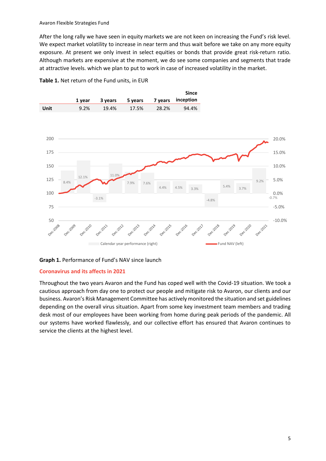After the long rally we have seen in equity markets we are not keen on increasing the Fund's risk level. We expect market volatility to increase in near term and thus wait before we take on any more equity exposure. At present we only invest in select equities or bonds that provide great risk-return ratio. Although markets are expensive at the moment, we do see some companies and segments that trade at attractive levels. which we plan to put to work in case of increased volatility in the market.



**Table 1.** Net return of the Fund units, in EUR

#### **Coronavirus and its affects in 2021**

Throughout the two years Avaron and the Fund has coped well with the Covid-19 situation. We took a cautious approach from day one to protect our people and mitigate risk to Avaron, our clients and our business. Avaron's Risk Management Committee has actively monitored the situation and set guidelines depending on the overall virus situation. Apart from some key investment team members and trading desk most of our employees have been working from home during peak periods of the pandemic. All our systems have worked flawlessly, and our collective effort has ensured that Avaron continues to service the clients at the highest level.

**Graph 1.** Performance of Fund's NAV since launch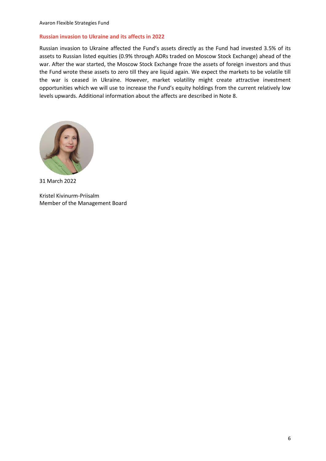#### **Russian invasion to Ukraine and its affects in 2022**

Russian invasion to Ukraine affected the Fund's assets directly as the Fund had invested 3.5% of its assets to Russian listed equities (0.9% through ADRs traded on Moscow Stock Exchange) ahead of the war. After the war started, the Moscow Stock Exchange froze the assets of foreign investors and thus the Fund wrote these assets to zero till they are liquid again. We expect the markets to be volatile till the war is ceased in Ukraine. However, market volatility might create attractive investment opportunities which we will use to increase the Fund's equity holdings from the current relatively low levels upwards. Additional information about the affects are described in Note 8.



31 March 2022

Kristel Kivinurm-Priisalm Member of the Management Board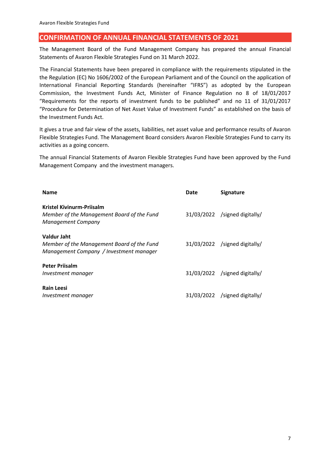## <span id="page-6-0"></span>**CONFIRMATION OF ANNUAL FINANCIAL STATEMENTS OF 2021**

The Management Board of the Fund Management Company has prepared the annual Financial Statements of Avaron Flexible Strategies Fund on 31 March 2022.

The Financial Statements have been prepared in compliance with the requirements stipulated in the the Regulation (EC) No 1606/2002 of the European Parliament and of the Council on the application of International Financial Reporting Standards (hereinafter "IFRS") as adopted by the European Commission, the Investment Funds Act, Minister of Finance Regulation no 8 of 18/01/2017 "Requirements for the reports of investment funds to be published" and no 11 of 31/01/2017 "Procedure for Determination of Net Asset Value of Investment Funds" as established on the basis of the Investment Funds Act.

It gives a true and fair view of the assets, liabilities, net asset value and performance results of Avaron Flexible Strategies Fund. The Management Board considers Avaron Flexible Strategies Fund to carry its activities as a going concern.

The annual Financial Statements of Avaron Flexible Strategies Fund have been approved by the Fund Management Company and the investment managers.

| <b>Name</b>                                                                                          | Date | <b>Signature</b>                |
|------------------------------------------------------------------------------------------------------|------|---------------------------------|
| Kristel Kivinurm-Priisalm<br>Member of the Management Board of the Fund<br><b>Management Company</b> |      | 31/03/2022 /signed digitally/   |
| Valdur Jaht<br>Member of the Management Board of the Fund<br>Management Company / Investment manager |      | $31/03/2022$ /signed digitally/ |
| <b>Peter Priisalm</b><br>Investment manager                                                          |      | 31/03/2022 /signed digitally/   |
| <b>Rain Leesi</b><br>Investment manager                                                              |      | 31/03/2022 /signed digitally/   |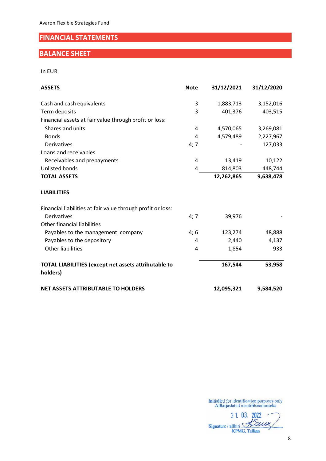## <span id="page-7-0"></span>**FINANCIAL STATEMENTS**

## <span id="page-7-1"></span>**BALANCE SHEET**

In EUR

| <b>ASSETS</b>                                                           | <b>Note</b> | 31/12/2021 | 31/12/2020 |
|-------------------------------------------------------------------------|-------------|------------|------------|
| Cash and cash equivalents                                               | 3           | 1,883,713  | 3,152,016  |
| Term deposits                                                           | 3           | 401,376    | 403,515    |
| Financial assets at fair value through profit or loss:                  |             |            |            |
| Shares and units                                                        | 4           | 4,570,065  | 3,269,081  |
| <b>Bonds</b>                                                            | 4           | 4,579,489  | 2,227,967  |
| Derivatives                                                             | 4; 7        |            | 127,033    |
| Loans and receivables                                                   |             |            |            |
| Receivables and prepayments                                             | 4           | 13,419     | 10,122     |
| Unlisted bonds                                                          | 4           | 814,803    | 448,744    |
| <b>TOTAL ASSETS</b>                                                     |             | 12,262,865 | 9,638,478  |
| <b>LIABILITIES</b>                                                      |             |            |            |
| Financial liabilities at fair value through profit or loss:             |             |            |            |
| <b>Derivatives</b>                                                      | 4;7         | 39,976     |            |
| Other financial liabilities                                             |             |            |            |
| Payables to the management company                                      | 4;6         | 123,274    | 48,888     |
| Payables to the depository                                              | 4           | 2,440      | 4,137      |
| <b>Other liabilities</b>                                                | 4           | 1,854      | 933        |
| <b>TOTAL LIABILITIES (except net assets attributable to</b><br>holders) |             | 167,544    | 53,958     |
| <b>NET ASSETS ATTRIBUTABLE TO HOLDERS</b>                               |             | 12,095,321 | 9,584,520  |

3 1. 03. 2022 Signature / allkiri Street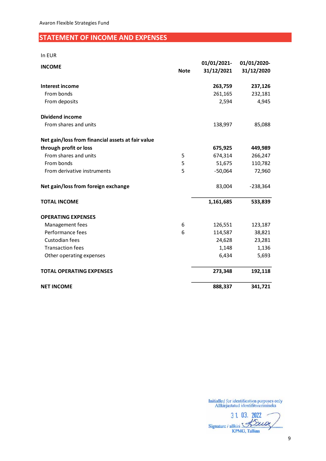## <span id="page-8-0"></span>**STATEMENT OF INCOME AND EXPENSES**

| ı |    |
|---|----|
|   | ۰. |

|                                                   |             | 01/01/2021- | 01/01/2020- |
|---------------------------------------------------|-------------|-------------|-------------|
| <b>INCOME</b>                                     | <b>Note</b> | 31/12/2021  | 31/12/2020  |
| <b>Interest income</b>                            |             | 263,759     | 237,126     |
| From bonds                                        |             | 261,165     | 232,181     |
| From deposits                                     |             | 2,594       | 4,945       |
| <b>Dividend income</b>                            |             |             |             |
| From shares and units                             |             | 138,997     | 85,088      |
| Net gain/loss from financial assets at fair value |             |             |             |
| through profit or loss                            |             | 675,925     | 449,989     |
| From shares and units                             | 5           | 674,314     | 266,247     |
| From bonds                                        | 5           | 51,675      | 110,782     |
| From derivative instruments                       | 5           | $-50,064$   | 72,960      |
| Net gain/loss from foreign exchange               |             | 83,004      | $-238,364$  |
| <b>TOTAL INCOME</b>                               |             | 1,161,685   | 533,839     |
| <b>OPERATING EXPENSES</b>                         |             |             |             |
| Management fees                                   | 6           | 126,551     | 123,187     |
| Performance fees                                  | 6           | 114,587     | 38,821      |
| Custodian fees                                    |             | 24,628      | 23,281      |
| <b>Transaction fees</b>                           |             | 1,148       | 1,136       |
| Other operating expenses                          |             | 6,434       | 5,693       |
| <b>TOTAL OPERATING EXPENSES</b>                   |             | 273,348     | 192,118     |
| <b>NET INCOME</b>                                 |             | 888,337     | 341,721     |

3 1. 03. 2022 Signature / allkiri Street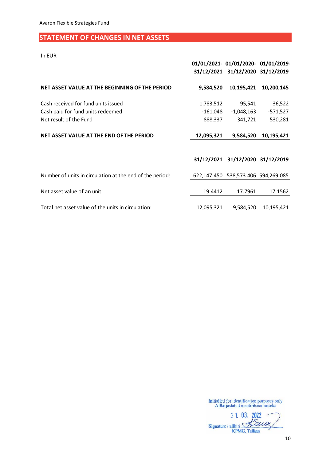## <span id="page-9-0"></span>**STATEMENT OF CHANGES IN NET ASSETS**

In EUR

|                                                          |             | 01/01/2021- 01/01/2020- 01/01/2019-<br>31/12/2021 31/12/2020 31/12/2019 |                         |
|----------------------------------------------------------|-------------|-------------------------------------------------------------------------|-------------------------|
| NET ASSET VALUE AT THE BEGINNING OF THE PERIOD           | 9,584,520   | 10,195,421                                                              | 10,200,145              |
| Cash received for fund units issued                      | 1,783,512   | 95,541                                                                  | 36,522                  |
| Cash paid for fund units redeemed                        | -161,048    | $-1,048,163$                                                            | $-571,527$              |
| Net result of the Fund                                   | 888,337     | 341,721                                                                 | 530,281                 |
| NET ASSET VALUE AT THE END OF THE PERIOD                 | 12,095,321  | 9,584,520                                                               | 10,195,421              |
|                                                          |             | 31/12/2021 31/12/2020 31/12/2019                                        |                         |
| Number of units in circulation at the end of the period: | 622,147.450 |                                                                         | 538,573.406 594,269.085 |
| Net asset value of an unit:                              | 19.4412     | 17.7961                                                                 | 17.1562                 |

Total net asset value of the units in circulation: 12,095,321 9,584,520 10,195,421

3 1. 03. 2022 Signature / allkiri **KPMG, Tallinn**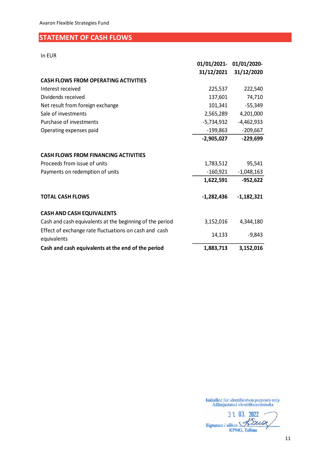## <span id="page-10-0"></span>**STATEMENT OF CASH FLOWS**

In EUR

|                                                                      |              | 01/01/2021- 01/01/2020- |
|----------------------------------------------------------------------|--------------|-------------------------|
|                                                                      |              | 31/12/2021 31/12/2020   |
| <b>CASH FLOWS FROM OPERATING ACTIVITIES</b>                          |              |                         |
| Interest received                                                    | 225,537      | 222,540                 |
| Dividends received                                                   | 137,601      | 74,710                  |
| Net result from foreign exchange                                     | 101,341      | $-55,349$               |
| Sale of investments                                                  | 2,565,289    | 4,201,000               |
| Purchase of investments                                              | -5,734,932   | $-4,462,933$            |
| Operating expenses paid                                              | -199,863     | $-209,667$              |
|                                                                      | $-2,905,027$ | $-229,699$              |
| <b>CASH FLOWS FROM FINANCING ACTIVITIES</b>                          |              |                         |
| Proceeds from issue of units                                         | 1,783,512    | 95,541                  |
| Payments on redemption of units                                      | -160,921     | $-1,048,163$            |
|                                                                      | 1,622,591    | $-952,622$              |
| <b>TOTAL CASH FLOWS</b>                                              | $-1,282,436$ | $-1,182,321$            |
| <b>CASH AND CASH EQUIVALENTS</b>                                     |              |                         |
| Cash and cash equivalents at the beginning of the period             | 3,152,016    | 4,344,180               |
| Effect of exchange rate fluctuations on cash and cash<br>equivalents | 14,133       | $-9,843$                |
| Cash and cash equivalents at the end of the period                   | 1,883,713    | 3,152,016               |

3 1. 03. 2022 Signature / allkiri XXLO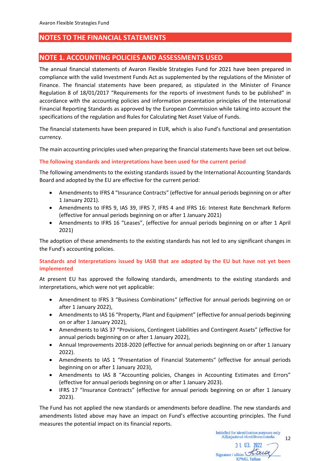## <span id="page-11-0"></span>**NOTES TO THE FINANCIAL STATEMENTS**

## <span id="page-11-1"></span>**NOTE 1. ACCOUNTING POLICIES AND ASSESSMENTS USED**

The annual financial statements of Avaron Flexible Strategies Fund for 2021 have been prepared in compliance with the valid Investment Funds Act as supplemented by the regulations of the Minister of Finance. The financial statements have been prepared, as stipulated in the Minister of Finance Regulation 8 of 18/01/2017 "Requirements for the reports of investment funds to be published" in accordance with the accounting policies and information presentation principles of the International Financial Reporting Standards as approved by the European Commission while taking into account the specifications of the regulation and Rules for Calculating Net Asset Value of Funds.

The financial statements have been prepared in EUR, which is also Fund's functional and presentation currency.

The main accounting principles used when preparing the financial statements have been set out below.

#### **The following standards and interpretations have been used for the current period**

The following amendments to the existing standards issued by the International Accounting Standards Board and adopted by the EU are effective for the current period:

- Amendments to IFRS 4 "Insurance Contracts" (effective for annual periods beginning on or after 1 January 2021).
- Amendments to IFRS 9, IAS 39, IFRS 7, IFRS 4 and IFRS 16: Interest Rate Benchmark Reform (effective for annual periods beginning on or after 1 January 2021)
- Amendments to IFRS 16 "Leases", (effective for annual periods beginning on or after 1 April 2021)

The adoption of these amendments to the existing standards has not led to any significant changes in the Fund's accounting policies.

#### **Standards and Interpretations issued by IASB that are adopted by the EU but have not yet been implemented**

At present EU has approved the following standards, amendments to the existing standards and interpretations, which were not yet applicable:

- Amendment to IFRS 3 "Business Combinations" (effective for annual periods beginning on or after 1 January 2022),
- Amendments to IAS 16 "Property, Plant and Equipment" (effective for annual periods beginning on or after 1 January 2022),
- Amendments to IAS 37 "Provisions, Contingent Liabilities and Contingent Assets" (effective for annual periods beginning on or after 1 January 2022),
- Annual Improvements 2018-2020 (effective for annual periods beginning on or after 1 January 2022).
- Amendments to IAS 1 "Presentation of Financial Statements" (effective for annual periods beginning on or after 1 January 2023),
- Amendments to IAS 8 "Accounting policies, Changes in Accounting Estimates and Errors" (effective for annual periods beginning on or after 1 January 2023).
- IFRS 17 "Insurance Contracts" (effective for annual periods beginning on or after 1 January 2023).

The Fund has not applied the new standards or amendments before deadline. The new standards and amendments listed above may have an impact on Fund's effective accounting principles. The Fund measures the potential impact on its financial reports.

> Initialled for identification purposes only Allkirjastatud identifitseerimiseks 12 31 03. 2022 Saion Signature / allkiri

**KPMG**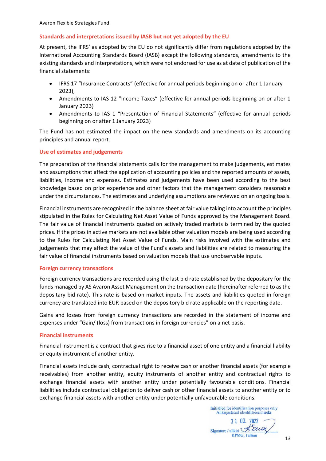#### **Standards and interpretations issued by IASB but not yet adopted by the EU**

At present, the IFRS' as adopted by the EU do not significantly differ from regulations adopted by the International Accounting Standards Board (IASB) except the following standards, amendments to the existing standards and interpretations, which were not endorsed for use as at date of publication of the financial statements:

- IFRS 17 "Insurance Contracts" (effective for annual periods beginning on or after 1 January 2023),
- Amendments to IAS 12 "Income Taxes" (effective for annual periods beginning on or after 1 January 2023)
- Amendments to IAS 1 "Presentation of Financial Statements" (effective for annual periods beginning on or after 1 January 2023)

The Fund has not estimated the impact on the new standards and amendments on its accounting principles and annual report.

#### **Use of estimates and judgements**

The preparation of the financial statements calls for the management to make judgements, estimates and assumptions that affect the application of accounting policies and the reported amounts of assets, liabilities, income and expenses. Estimates and judgements have been used according to the best knowledge based on prior experience and other factors that the management considers reasonable under the circumstances. The estimates and underlying assumptions are reviewed on an ongoing basis.

Financial instruments are recognized in the balance sheet at fair value taking into account the principles stipulated in the Rules for Calculating Net Asset Value of Funds approved by the Management Board. The fair value of financial instruments quated on actively traded markets is termined by the quoted prices. If the prices in active markets are not available other valuation models are being used according to the Rules for Calculating Net Asset Value of Funds. Main risks involved with the estimates and judgements that may affect the value of the Fund's assets and liabilities are related to measuring the fair value of financial instruments based on valuation models that use unobservable inputs.

#### **Foreign currency transactions**

Foreign currency transactions are recorded using the last bid rate established by the depositary for the funds managed by AS Avaron Asset Management on the transaction date (hereinafter referred to as the depositary bid rate). This rate is based on market inputs. The assets and liabilities quoted in foreign currency are translated into EUR based on the depository bid rate applicable on the reporting date.

Gains and losses from foreign currency transactions are recorded in the statement of income and expenses under "Gain/ (loss) from transactions in foreign currencies" on a net basis.

#### **Financial instruments**

Financial instrument is a contract that gives rise to a financial asset of one entity and a financial liability or equity instrument of another entity.

Financial assets include cash, contractual right to receive cash or another financial assets (for example receivables) from another entity, equity instruments of another entity and contractual rights to exchange financial assets with another entity under potentially favourable conditions. Financial liabilities include contractual obligation to deliver cash or other financial assets to another entity or to exchange financial assets with another entity under potentially unfavourable conditions.

3 1 03. 2022 Signature / allkiri **KPMG, Tallinn**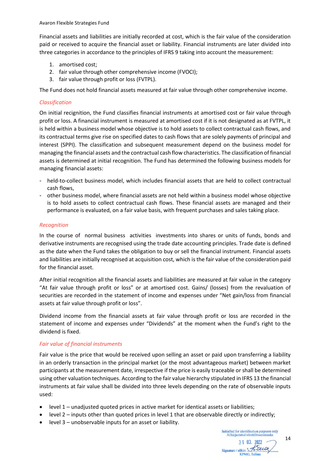Financial assets and liabilities are initially recorded at cost, which is the fair value of the consideration paid or received to acquire the financial asset or liability. Financial instruments are later divided into three categories in accordance to the principles of IFRS 9 taking into account the measurement:

- 1. amortised cost;
- 2. fair value through other comprehensive income (FVOCI);
- 3. fair value through profit or loss (FVTPL).

The Fund does not hold financial assets measured at fair value through other comprehensive income.

#### *Classification*

On initial recignition, the Fund classifies financial instruments at amortised cost or fair value through profit or loss. A financial instrument is measured at amortised cost if it is not designated as at FVTPL, it is held within a business model whose objective is to hold assets to collect contractual cash flows, and its contractual terms give rise on specified dates to cash flows that are solely payments of principal and interest (SPPI). The classification and subsequent measurement depend on the business model for managing the financial assets and the contractual cash flow characteristics. The classification of financial assets is determined at initial recognition. The Fund has determined the following business models for managing financial assets:

- held-to-collect business model, which includes financial assets that are held to collect contractual cash flows,
- other business model, where financial assets are not held within a business model whose objective is to hold assets to collect contractual cash flows. These financial assets are managed and their performance is evaluated, on a fair value basis, with frequent purchases and sales taking place.

#### *Recognition*

In the course of normal business activities investments into shares or units of funds, bonds and derivative instruments are recognised using the trade date accounting principles. Trade date is defined as the date when the Fund takes the obligation to buy or sell the financial instrument. Financial assets and liabilities are initially recognised at acquisition cost, which is the fair value of the consideration paid for the financial asset.

After initial recognition all the financial assets and liabilities are measured at fair value in the category "At fair value through profit or loss" or at amortised cost. Gains/ (losses) from the revaluation of securities are recorded in the statement of income and expenses under "Net gain/loss from financial assets at fair value through profit or loss".

Dividend income from the financial assets at fair value through profit or loss are recorded in the statement of income and expenses under "Dividends" at the moment when the Fund's right to the dividend is fixed.

### *Fair value of financial instruments*

Fair value is the price that would be received upon selling an asset or paid upon transferring a liability in an orderly transaction in the principal market (or the most advantageous market) between market participants at the measurement date, irrespective if the price is easily traceable or shall be determined using other valuation techniques. According to the fair value hierarchy stipulated in IFRS 13 the financial instruments at fair value shall be divided into three levels depending on the rate of observable inputs used:

- level 1 unadjusted quoted prices in active market for identical assets or liabilities;
- level 2 inputs other than quoted prices in level 1 that are observable directly or indirectly;
- level 3 unobservable inputs for an asset or liability.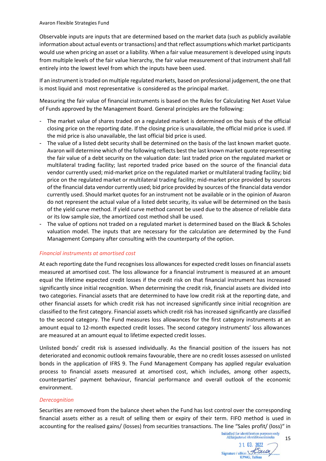Observable inputs are inputs that are determined based on the market data (such as publicly available information about actual events or transactions) and that reflect assumptions which market participants would use when pricing an asset or a liability. When a fair value measurement is developed using inputs from multiple levels of the fair value hierarchy, the fair value measurement of that instrument shall fall entirely into the lowest level from which the inputs have been used.

If an instrument is traded on multiple regulated markets, based on professional judgement, the one that is most liquid and most representative is considered as the principal market.

Measuring the fair value of financial instruments is based on the Rules for Calculating Net Asset Value of Funds approved by the Management Board. General principles are the following:

- The market value of shares traded on a regulated market is determined on the basis of the official closing price on the reporting date. If the closing price is unavailable, the official mid price is used. If the mid price is also unavailable, the last official bid price is used.
- The value of a listed debt security shall be determined on the basis of the last known market quote. Avaron will determine which of the following reflects best the last known market quote representing the fair value of a debt security on the valuation date: last traded price on the regulated market or multilateral trading facility; last reported traded price based on the source of the financial data vendor currently used; mid-market price on the regulated market or multilateral trading facility; bid price on the regulated market or multilateral trading facility; mid-market price provided by sources of the financial data vendor currently used; bid price provided by sources of the financial data vendor currently used. Should market quotes for an instrument not be available or in the opinion of Avaron do not represent the actual value of a listed debt security, its value will be determined on the basis of the yield curve method. If yield curve method cannot be used due to the absence of reliable data or its low sample size, the amortized cost method shall be used.
- The value of options not traded on a regulated market is determined based on the Black & Scholes valuation model. The inputs that are necessary for the calculation are determined by the Fund Management Company after consulting with the counterparty of the option.

#### *Financial instruments at amortised cost*

At each reporting date the Fund recognises loss allowances for expected credit losses on financial assets measured at amortised cost. The loss allowance for a financial instrument is measured at an amount equal the lifetime expected credit losses if the credit risk on that financial instrument has increased significantly since initial recognition. When determining the credit risk, financial assets are divided into two categories. Financial assets that are determined to have low credit risk at the reporting date, and other financial assets for which credit risk has not increased significantly since initial recognition are classified to the first category. Financial assets which credit risk has increased significantly are classified to the second category. The Fund measures loss allowances for the first category instruments at an amount equal to 12-month expected credit losses. The second category instruments' loss allowances are measured at an amount equal to lifetime expected credit losses.

Unlisted bonds' credit risk is assessed individually. As the financial position of the issuers has not deteriorated and economic outlook remains favourable, there are no credit losses assessed on unlisted bonds in the application of IFRS 9. The Fund Management Company has applied regular evaluation process to financial assets measured at amortised cost, which includes, among other aspects, counterparties' payment behaviour, financial performance and overall outlook of the economic environment.

#### *Derecognition*

Securities are removed from the balance sheet when the Fund has lost control over the corresponding financial assets either as a result of selling them or expiry of their term. FIFO method is used in accounting for the realised gains/ (losses) from securities transactions. The line "Sales profit/ (loss)" in

**KPMG** Talling

15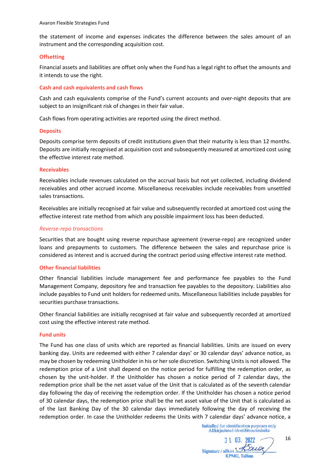the statement of income and expenses indicates the difference between the sales amount of an instrument and the corresponding acquisition cost.

#### **Offsetting**

Financial assets and liabilities are offset only when the Fund has a legal right to offset the amounts and it intends to use the right.

#### **Cash and cash equivalents and cash flows**

Cash and cash equivalents comprise of the Fund's current accounts and over-night deposits that are subject to an insignificant risk of changes in their fair value.

Cash flows from operating activities are reported using the direct method.

#### **Deposits**

Deposits comprise term deposits of credit institutions given that their maturity is less than 12 months. Deposits are initially recognised at acquisition cost and subsequently measured at amortized cost using the effective interest rate method.

#### **Receivables**

Receivables include revenues calculated on the accrual basis but not yet collected, including dividend receivables and other accrued income. Miscellaneous receivables include receivables from unsettled sales transactions.

Receivables are initially recognised at fair value and subsequently recorded at amortized cost using the effective interest rate method from which any possible impairment loss has been deducted.

#### *Reverse-repo transactions*

Securities that are bought using reverse repurchase agreement (reverse-repo) are recognized under loans and prepayments to customers. The difference between the sales and repurchase price is considered as interest and is accrued during the contract period using effective interest rate method.

#### **Other financial liabilities**

Other financial liabilities include management fee and performance fee payables to the Fund Management Company, depository fee and transaction fee payables to the depository. Liabilities also include payables to Fund unit holders for redeemed units. Miscellaneous liabilities include payables for securities purchase transactions.

Other financial liabilities are initially recognised at fair value and subsequently recorded at amortized cost using the effective interest rate method.

#### **Fund units**

The Fund has one class of units which are reported as financial liabilities. Units are issued on every banking day. Units are redeemed with either 7 calendar days' or 30 calendar days' advance notice, as may be chosen by redeeming Unitholder in his or her sole discretion. Switching Units is not allowed. The redemption price of a Unit shall depend on the notice period for fulfilling the redemption order, as chosen by the unit-holder. If the Unitholder has chosen a notice period of 7 calendar days, the redemption price shall be the net asset value of the Unit that is calculated as of the seventh calendar day following the day of receiving the redemption order. If the Unitholder has chosen a notice period of 30 calendar days, the redemption price shall be the net asset value of the Unit that is calculated as of the last Banking Day of the 30 calendar days immediately following the day of receiving the redemption order. In case the Unitholder redeems the Units with 7 calendar days' advance notice, a

 $31$  03. 2022 Signature / allkiri Street **KPMG**, Tallinn

16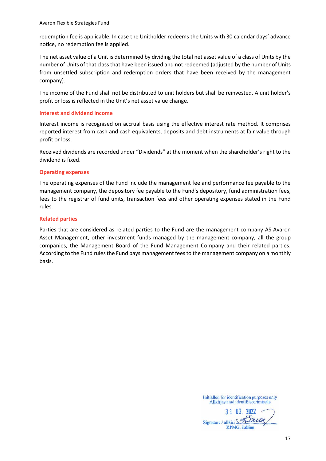redemption fee is applicable. In case the Unitholder redeems the Units with 30 calendar days' advance notice, no redemption fee is applied.

The net asset value of a Unit is determined by dividing the total net asset value of a class of Units by the number of Units of that class that have been issued and not redeemed (adjusted by the number of Units from unsettled subscription and redemption orders that have been received by the management company).

The income of the Fund shall not be distributed to unit holders but shall be reinvested. A unit holder's profit or loss is reflected in the Unit's net asset value change.

#### **Interest and dividend income**

Interest income is recognised on accrual basis using the effective interest rate method. It comprises reported interest from cash and cash equivalents, deposits and debt instruments at fair value through profit or loss.

Received dividends are recorded under "Dividends" at the moment when the shareholder's right to the dividend is fixed.

#### **Operating expenses**

The operating expenses of the Fund include the management fee and performance fee payable to the management company, the depository fee payable to the Fund's depository, fund administration fees, fees to the registrar of fund units, transaction fees and other operating expenses stated in the Fund rules.

#### **Related parties**

Parties that are considered as related parties to the Fund are the management company AS Avaron Asset Management, other investment funds managed by the management company, all the group companies, the Management Board of the Fund Management Company and their related parties. According to the Fund rules the Fund pays management fees to the management company on a monthly basis.

3 1 03. 2022 Signature / allkiri S **KPMG, Tallinn**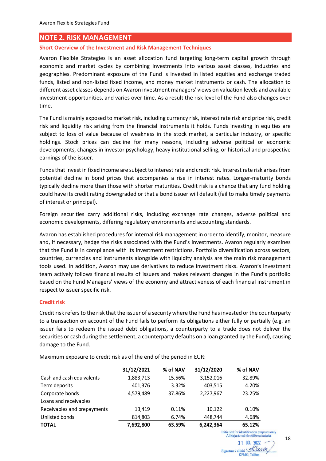### <span id="page-17-0"></span>**NOTE 2. RISK MANAGEMENT**

#### **Short Overview of the Investment and Risk Management Techniques**

Avaron Flexible Strategies is an asset allocation fund targeting long-term capital growth through economic and market cycles by combining investments into various asset classes, industries and geographies. Predominant exposure of the Fund is invested in listed equities and exchange traded funds, listed and non-listed fixed income, and money market instruments or cash. The allocation to different asset classes depends on Avaron investment managers' views on valuation levels and available investment opportunities, and varies over time. As a result the risk level of the Fund also changes over time.

The Fund is mainly exposed to market risk, including currency risk, interest rate risk and price risk, credit risk and liquidity risk arising from the financial instruments it holds. Funds investing in equities are subject to loss of value because of weakness in the stock market, a particular industry, or specific holdings. Stock prices can decline for many reasons, including adverse political or economic developments, changes in investor psychology, heavy institutional selling, or historical and prospective earnings of the issuer.

Funds that invest in fixed income are subject to interest rate and credit risk. Interest rate risk arises from potential decline in bond prices that accompanies a rise in interest rates. Longer-maturity bonds typically decline more than those with shorter maturities. Credit risk is a chance that any fund holding could have its credit rating downgraded or that a bond issuer will default (fail to make timely payments of interest or principal).

Foreign securities carry additional risks, including exchange rate changes, adverse political and economic developments, differing regulatory environments and accounting standards.

Avaron has established procedures for internal risk management in order to identify, monitor, measure and, if necessary, hedge the risks associated with the Fund's investments. Avaron regularly examines that the Fund is in compliance with its investment restrictions. Portfolio diversification across sectors, countries, currencies and instruments alongside with liquidity analysis are the main risk management tools used. In addition, Avaron may use derivatives to reduce investment risks. Avaron's investment team actively follows financial results of issuers and makes relevant changes in the Fund's portfolio based on the Fund Managers' views of the economy and attractiveness of each financial instrument in respect to issuer specific risk.

#### **Credit risk**

Credit risk refers to the risk that the issuer of a security where the Fund has invested or the counterparty to a transaction on account of the Fund fails to perform its obligations either fully or partially (e.g. an issuer fails to redeem the issued debt obligations, a counterparty to a trade does not deliver the securities or cash during the settlement, a counterparty defaults on a loan granted by the Fund), causing damage to the Fund.

Maximum exposure to credit risk as of the end of the period in EUR:

|                             | 31/12/2021 | % of NAV | 31/12/2020 | % of NAV |
|-----------------------------|------------|----------|------------|----------|
| Cash and cash equivalents   | 1,883,713  | 15.56%   | 3,152,016  | 32.89%   |
| Term deposits               | 401,376    | 3.32%    | 403,515    | 4.20%    |
| Corporate bonds             | 4,579,489  | 37.86%   | 2,227,967  | 23.25%   |
| Loans and receivables       |            |          |            |          |
| Receivables and prepayments | 13,419     | 0.11%    | 10.122     | 0.10%    |
| Unlisted bonds              | 814,803    | 6.74%    | 448,744    | 4.68%    |
| <b>TOTAL</b>                | 7,692,800  | 63.59%   | 6,242,364  | 65.12%   |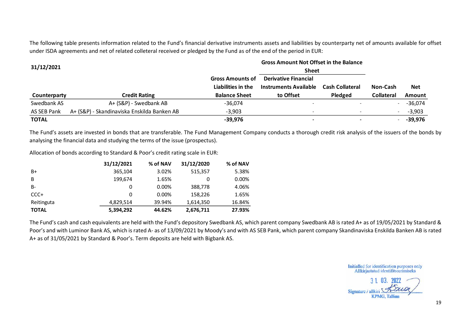The following table presents information related to the Fund's financial derivative instruments assets and liabilities by counterparty net of amounts available for offset under ISDA agreements and net of related colleteral received or pledged by the Fund as of the end of the period in EUR:

| 31/12/2021   | <b>Gross Amount Not Offset in the Balance</b><br><b>Sheet</b> |                                               |                                                      |                        |                   |               |
|--------------|---------------------------------------------------------------|-----------------------------------------------|------------------------------------------------------|------------------------|-------------------|---------------|
|              |                                                               | <b>Gross Amounts of</b><br>Liabilities in the | <b>Derivative Financial</b><br>Instruments Available | <b>Cash Collateral</b> | Non-Cash          | <b>Net</b>    |
| Counterparty | <b>Credit Rating</b>                                          | <b>Balance Sheet</b>                          | to Offset                                            | Pledged                | <b>Collateral</b> | <b>Amount</b> |
| Swedbank AS  | A+ (S&P) - Swedbank AB                                        | $-36,074$                                     | $\overline{\phantom{a}}$                             |                        |                   | $-36,074$     |
| AS SEB Pank  | A+ (S&P) - Skandinaviska Enskilda Banken AB                   | $-3,903$                                      | -                                                    |                        |                   | $-3,903$      |
|              |                                                               |                                               |                                                      |                        |                   |               |

The Fund's assets are invested in bonds that are transferable. The Fund Management Company conducts a thorough credit risk analysis of the issuers of the bonds by analysing the financial data and studying the terms of the issue (prospectus).

Allocation of bonds according to Standard & Poor's credit rating scale in EUR:

|              | 31/12/2021 | % of NAV | 31/12/2020 | % of NAV |
|--------------|------------|----------|------------|----------|
| $B+$         | 365.104    | 3.02%    | 515,357    | 5.38%    |
| B            | 199,674    | 1.65%    |            | 0.00%    |
| <b>B-</b>    | 0          | 0.00%    | 388,778    | 4.06%    |
| $CCC+$       | 0          | 0.00%    | 158,226    | 1.65%    |
| Reitinguta   | 4.829.514  | 39.94%   | 1.614.350  | 16.84%   |
| <b>TOTAL</b> | 5,394,292  | 44.62%   | 2,676,711  | 27.93%   |

The Fund's cash and cash equivalents are held with the Fund's depository Swedbank AS, which parent company Swedbank AB is rated A+ as of 19/05/2021 by Standard & Poor's and with Luminor Bank AS, which is rated A- as of 13/09/2021 by Moody's and with AS SEB Pank, which parent company Skandinaviska Enskilda Banken AB is rated A+ as of 31/05/2021 by Standard & Poor's. Term deposits are held with Bigbank AS.

Initialled for identification purposes only<br>Allkirjastatud identifitseerimiseks

Signature / allkiri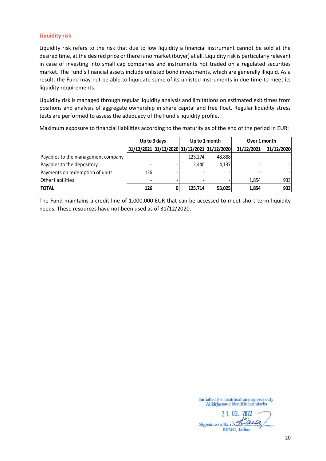#### **Liquidity risk**

Liquidity risk refers to the risk that due to low liquidity a financial instrument cannot be sold at the desired time, at the desired price or there is no market (buyer) at all. Liquidity risk is particularly relevant in case of investing into small cap companies and instruments not traded on a regulated securities market. The Fund's financial assets include unlisted bond investments, which are generally illiquid. As a result, the Fund may not be able to liquidate some of its unlisted instruments in due time to meet its liquidity requirements.

Liquidity risk is managed through regular liquidity analysis and limitations on estimated exit times from positions and analysis of aggregate ownership in share capital and free float. Regular liquidity stress tests are performed to assess the adequacy of the Fund's liquidity profile.

Maximum exposure to financial liabilities according to the maturity as of the end of the period in EUR:

|                                    | Up to 3 days |   | Up to 1 month                               |        | Over 1 month |            |
|------------------------------------|--------------|---|---------------------------------------------|--------|--------------|------------|
|                                    |              |   | 31/12/2021 31/12/2020 31/12/2021 31/12/2020 |        | 31/12/2021   | 31/12/2020 |
| Payables to the management company |              |   | 123.274                                     | 48,888 |              |            |
| Payables to the depository         |              |   | 2,440                                       | 4,137  |              |            |
| Payments on redemption of units    | 126          |   |                                             |        |              |            |
| Other liabilities                  |              |   |                                             |        | 1.854        | 933        |
| <b>TOTAL</b>                       | 126          | 0 | 125.714                                     | 53,025 | 1,854        | 933        |

The Fund maintains a credit line of 1,000,000 EUR that can be accessed to meet short-term liquidity needs. These resources have not been used as of 31/12/2020.

3 1 03. 2022 Signature / allkiri Jawa **KPMG**, Tallinn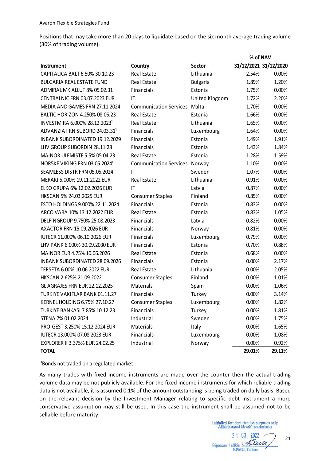Positions that may take more than 20 days to liquidate based on the six month average trading volume (30% of trading volume).

|                                           |                               |                 | 70 OI INAV |                       |
|-------------------------------------------|-------------------------------|-----------------|------------|-----------------------|
| <b>Instrument</b>                         | Country                       | Sector          |            | 31/12/2021 31/12/2020 |
| CAPITALICA BALT 6.50% 30.10.23            | <b>Real Estate</b>            | Lithuania       | 2.54%      | 0.00%                 |
| <b>BULGARIA REAL ESTATE FUND</b>          | <b>Real Estate</b>            | <b>Bulgaria</b> | 1.89%      | 1.20%                 |
| ADMIRAL MK ALLUT 8% 05.02.31              | Financials                    | Estonia         | 1.75%      | 0.00%                 |
| CENTRALNIC FRN 03.07.2023 EUR             | IT                            | United Kingdom  | 1.72%      | 2.20%                 |
| MEDIA AND GAMES FRN 27.11.2024            | <b>Communication Services</b> | Malta           | 1.70%      | 0.00%                 |
| BALTIC HORIZON 4.250% 08.05.23            | <b>Real Estate</b>            | Estonia         | 1.66%      | 0.00%                 |
| INVESTMIRA 6.000% 28.12.2023 <sup>1</sup> | <b>Real Estate</b>            | Lithuania       | 1.65%      | 0.00%                 |
| ADVANZIA FRN SUBORD 24.03.31 <sup>1</sup> | Financials                    | Luxembourg      | 1.64%      | 0.00%                 |
| <b>INBANK SUBORDINATED 19.12.2029</b>     | Financials                    | Estonia         | 1.49%      | 1.91%                 |
| LHV GROUP SUBORDIN 28.11.28               | Financials                    | Estonia         | 1.43%      | 1.84%                 |
| MAINOR ULEMISTE 5.5% 05.04.23             | Real Estate                   | Estonia         | 1.28%      | 1.59%                 |
| NOR5KE VIKING FRN 03.05.2024 <sup>1</sup> | <b>Communication Services</b> | Norway          | 1.10%      | 0.00%                 |
| SEAMLESS DISTR FRN 05.05.2024             | IT                            | Sweden          | 1.07%      | 0.00%                 |
| MERAKI 5.000% 19.11.2022 EUR              | Real Estate                   | Lithuania       | 0.91%      | 0.00%                 |
| ELKO GRUPA 6% 12.02.2026 EUR              | IT                            | Latvia          | 0.87%      | 0.00%                 |
| HKSCAN 5% 24.03.2025 EUR                  | <b>Consumer Staples</b>       | Finland         | 0.85%      | 0.00%                 |
| ESTO HOLDINGS 9.000% 22.11.2024           | Financials                    | Estonia         | 0.83%      | 0.00%                 |
| ARCO VARA 10% 13.12.2022 EUR <sup>1</sup> | <b>Real Estate</b>            | Estonia         | 0.83%      | 1.05%                 |
| DELFINGROUP 9.750% 25.08.2023             | Financials                    | Latvia          | 0.82%      | 0.00%                 |
| AXACTOR FRN 15.09.2026 EUR                | Financials                    | Norway          | 0.81%      | 0.00%                 |
| IUTECR 11.000% 06.10.2026 EUR             | Financials                    | Luxembourg      | 0.79%      | 0.00%                 |
| LHV PANK 6.000% 30.09.2030 EUR            | Financials                    | Estonia         | 0.70%      | 0.88%                 |
| MAINOR EUR 4.75% 10.06.2026               | <b>Real Estate</b>            | Estonia         | 0.68%      | 0.00%                 |
| <b>INBANK SUBORDINATED 28.09.2026</b>     | Financials                    | Estonia         | 0.00%      | 2.17%                 |
| TERSETA 6.00% 10.06.2022 EUR              | Real Estate                   | Lithuania       | 0.00%      | 2.05%                 |
| HKSCAN 2.625% 21.09.2022                  | <b>Consumer Staples</b>       | Finland         | 0.00%      | 1.01%                 |
| GL AGRAJES FRN EUR 22.12.2025             | Materials                     | Spain           | 0.00%      | 1.06%                 |
| TURKIYE VAKIFLAR BANK 01.11.27            | Financials                    | Turkey          | 0.00%      | 3.14%                 |
| KERNEL HOLDING 6.75% 27.10.27             | <b>Consumer Staples</b>       | Luxembourg      | 0.00%      | 1.82%                 |
| <b>TURKIYE BANKASI 7.85% 10.12.23</b>     | Financials                    | Turkey          | 0.00%      | 1.81%                 |
| STENA 7% 01.02.2024                       | Industrial                    | Sweden          | 0.00%      | 1.75%                 |
| PRO-GEST 3.250% 15.12.2024 EUR            | Materials                     | Italy           | 0.00%      | 1.65%                 |
| IUTECR 13.000% 07.08.2023 EUR             | Financials                    | Luxembourg      | 0.00%      | 1.08%                 |
| EXPLORER II 3.375% EUR 24.02.25           | Industrial                    | Norway          | 0.00%      | 0.92%                 |
| <b>TOTAL</b>                              |                               |                 | 29.01%     | 29.11%                |
|                                           |                               |                 |            |                       |

<sup>1</sup>Bonds not traded on a regulated market

As many trades with fixed income instruments are made over the counter then the actual trading volume data may be not publicly available. For the fixed income instruments for which reliable trading data is not available, it is assumed 0.1% of the amount outstanding is being traded on daily basis. Based on the relevant decision by the Investment Manager relating to specific debt instrument a more conservative assumption may still be used. In this case the instrument shall be assumed not to be sellable before maturity.

Initialled for identification purposes only<br>Allkirjastatud identifitseerimiseks

**% of NAV**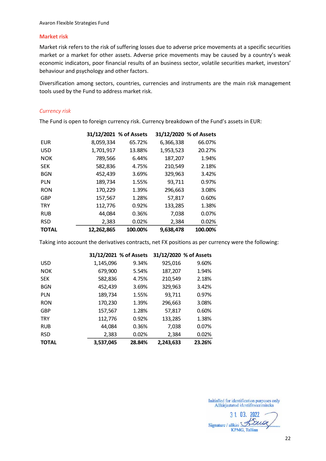#### **Market risk**

Market risk refers to the risk of suffering losses due to adverse price movements at a specific securities market or a market for other assets. Adverse price movements may be caused by a country's weak economic indicators, poor financial results of an business sector, volatile securities market, investors' behaviour and psychology and other factors.

Diversification among sectors, countries, currencies and instruments are the main risk management tools used by the Fund to address market risk.

#### *Currency risk*

The Fund is open to foreign currency risk. Currency breakdown of the Fund's assets in EUR:

|              |            | 31/12/2021 % of Assets |           | 31/12/2020 % of Assets |
|--------------|------------|------------------------|-----------|------------------------|
| <b>EUR</b>   | 8,059,334  | 65.72%                 | 6,366,338 | 66.07%                 |
| <b>USD</b>   | 1,701,917  | 13.88%                 | 1,953,523 | 20.27%                 |
| <b>NOK</b>   | 789,566    | 6.44%                  | 187,207   | 1.94%                  |
| <b>SEK</b>   | 582,836    | 4.75%                  | 210,549   | 2.18%                  |
| <b>BGN</b>   | 452,439    | 3.69%                  | 329,963   | 3.42%                  |
| <b>PLN</b>   | 189,734    | 1.55%                  | 93,711    | 0.97%                  |
| <b>RON</b>   | 170,229    | 1.39%                  | 296,663   | 3.08%                  |
| <b>GBP</b>   | 157,567    | 1.28%                  | 57,817    | 0.60%                  |
| <b>TRY</b>   | 112,776    | 0.92%                  | 133,285   | 1.38%                  |
| <b>RUB</b>   | 44,084     | 0.36%                  | 7,038     | 0.07%                  |
| <b>RSD</b>   | 2,383      | 0.02%                  | 2,384     | 0.02%                  |
| <b>TOTAL</b> | 12,262,865 | 100.00%                | 9.638.478 | 100.00%                |

Taking into account the derivatives contracts, net FX positions as per currency were the following:

|              |           | 31/12/2021 % of Assets |           | 31/12/2020 % of Assets |
|--------------|-----------|------------------------|-----------|------------------------|
| <b>USD</b>   | 1,145,096 | 9.34%                  | 925,016   | 9.60%                  |
| <b>NOK</b>   | 679,900   | 5.54%                  | 187,207   | 1.94%                  |
| <b>SEK</b>   | 582,836   | 4.75%                  | 210,549   | 2.18%                  |
| <b>BGN</b>   | 452,439   | 3.69%                  | 329,963   | 3.42%                  |
| <b>PLN</b>   | 189,734   | 1.55%                  | 93,711    | 0.97%                  |
| <b>RON</b>   | 170,230   | 1.39%                  | 296,663   | 3.08%                  |
| <b>GBP</b>   | 157,567   | 1.28%                  | 57,817    | 0.60%                  |
| <b>TRY</b>   | 112,776   | 0.92%                  | 133,285   | 1.38%                  |
| <b>RUB</b>   | 44,084    | 0.36%                  | 7,038     | 0.07%                  |
| <b>RSD</b>   | 2,383     | 0.02%                  | 2,384     | 0.02%                  |
| <b>TOTAL</b> | 3,537,045 | 28.84%                 | 2,243,633 | 23.26%                 |

3 1. 03. 2022 Signature / allkiri Sauce **KPMG, Tallinn**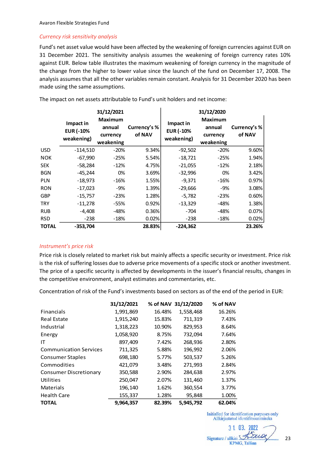#### *Currency risk sensitivity analysis*

Fund's net asset value would have been affected by the weakening of foreign currencies against EUR on 31 December 2021. The sensitivity analysis assumes the weakening of foreign currency rates 10% against EUR. Below table illustrates the maximum weakening of foreign currency in the magnitude of the change from the higher to lower value since the launch of the fund on December 17, 2008. The analysis assumes that all the other variables remain constant. Analysis for 31 December 2020 has been made using the same assumptions.

|              |                  | 31/12/2021     |              |                  | 31/12/2020     |              |
|--------------|------------------|----------------|--------------|------------------|----------------|--------------|
|              | Impact in        | <b>Maximum</b> |              | Impact in        | <b>Maximum</b> |              |
|              | <b>EUR (-10%</b> | annual         | Currency's % | <b>EUR (-10%</b> | annual         | Currency's % |
|              | weakening)       | currency       | of NAV       | weakening)       | currency       | of NAV       |
|              |                  | weakening      |              |                  | weakening      |              |
| <b>USD</b>   | $-114,510$       | $-20%$         | 9.34%        | $-92,502$        | $-20%$         | 9.60%        |
| <b>NOK</b>   | $-67,990$        | $-25%$         | 5.54%        | $-18,721$        | $-25%$         | 1.94%        |
| <b>SEK</b>   | $-58,284$        | $-12%$         | 4.75%        | $-21,055$        | $-12%$         | 2.18%        |
| <b>BGN</b>   | $-45,244$        | 0%             | 3.69%        | $-32,996$        | 0%             | 3.42%        |
| <b>PLN</b>   | $-18,973$        | -16%           | 1.55%        | $-9,371$         | -16%           | 0.97%        |
| <b>RON</b>   | $-17,023$        | -9%            | 1.39%        | $-29,666$        | -9%            | 3.08%        |
| <b>GBP</b>   | $-15,757$        | $-23%$         | 1.28%        | $-5,782$         | $-23%$         | 0.60%        |
| <b>TRY</b>   | $-11,278$        | -55%           | 0.92%        | $-13,329$        | -48%           | 1.38%        |
| <b>RUB</b>   | $-4,408$         | -48%           | 0.36%        | $-704$           | $-48%$         | 0.07%        |
| <b>RSD</b>   | $-238$           | $-18%$         | 0.02%        | $-238$           | $-18%$         | 0.02%        |
| <b>TOTAL</b> | $-353,704$       |                | 28.83%       | $-224,362$       |                | 23.26%       |

The impact on net assets attributable to Fund's unit holders and net income:

#### *Instrument's price risk*

Price risk is closely related to market risk but mainly affects a specific security or investment. Price risk is the risk of suffering losses due to adverse price movements of a specific stock or another investment. The price of a specific security is affected by developments in the issuer's financial results, changes in the competitive environment, analyst estimates and commentaries, etc.

Concentration of risk of the Fund's investments based on sectors as of the end of the period in EUR:

|                               | 31/12/2021 |        | % of NAV 31/12/2020 | % of NAV |
|-------------------------------|------------|--------|---------------------|----------|
| Financials                    | 1,991,869  | 16.48% | 1,558,468           | 16.26%   |
| Real Estate                   | 1,915,240  | 15.83% | 711,319             | 7.43%    |
| Industrial                    | 1,318,223  | 10.90% | 829,953             | 8.64%    |
| Energy                        | 1,058,920  | 8.75%  | 732,094             | 7.64%    |
| ΙT                            | 897,409    | 7.42%  | 268,936             | 2.80%    |
| <b>Communication Services</b> | 711,325    | 5.88%  | 196,992             | 2.06%    |
| Consumer Staples              | 698,180    | 5.77%  | 503,537             | 5.26%    |
| Commodities                   | 421,079    | 3.48%  | 271,993             | 2.84%    |
| <b>Consumer Discretionary</b> | 350,588    | 2.90%  | 284,638             | 2.97%    |
| Utilities                     | 250,047    | 2.07%  | 131,460             | 1.37%    |
| Materials                     | 196,140    | 1.62%  | 360,554             | 3.77%    |
| <b>Health Care</b>            | 155,337    | 1.28%  | 95,848              | 1.00%    |
| <b>TOTAL</b>                  | 9,964,357  | 82.39% | 5,945,792           | 62.04%   |

3 1 03. 2022 Signature / allkiri Sau **KPMG, Tallinn** 

23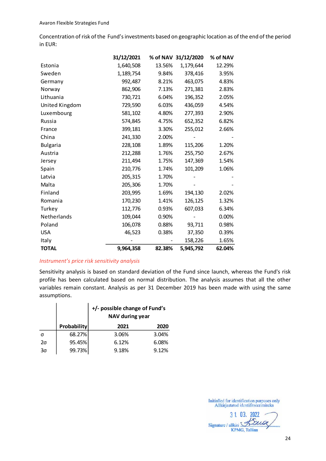Concentration of risk of the Fund's investments based on geographic location as of the end of the period in EUR:

|                 | 31/12/2021 |        | % of NAV 31/12/2020 | % of NAV |
|-----------------|------------|--------|---------------------|----------|
| Estonia         | 1,640,508  | 13.56% | 1,179,644           | 12.29%   |
| Sweden          | 1,189,754  | 9.84%  | 378,416             | 3.95%    |
| Germany         | 992,487    | 8.21%  | 463,075             | 4.83%    |
| Norway          | 862,906    | 7.13%  | 271,381             | 2.83%    |
| Lithuania       | 730,721    | 6.04%  | 196,352             | 2.05%    |
| United Kingdom  | 729,590    | 6.03%  | 436,059             | 4.54%    |
| Luxembourg      | 581,102    | 4.80%  | 277,393             | 2.90%    |
| Russia          | 574,845    | 4.75%  | 652,352             | 6.82%    |
| France          | 399,181    | 3.30%  | 255,012             | 2.66%    |
| China           | 241,330    | 2.00%  |                     |          |
| <b>Bulgaria</b> | 228,108    | 1.89%  | 115,206             | 1.20%    |
| Austria         | 212,288    | 1.76%  | 255,750             | 2.67%    |
| Jersey          | 211,494    | 1.75%  | 147,369             | 1.54%    |
| Spain           | 210,776    | 1.74%  | 101,209             | 1.06%    |
| Latvia          | 205,315    | 1.70%  |                     |          |
| Malta           | 205,306    | 1.70%  |                     |          |
| Finland         | 203,995    | 1.69%  | 194,130             | 2.02%    |
| Romania         | 170,230    | 1.41%  | 126,125             | 1.32%    |
| Turkey          | 112,776    | 0.93%  | 607,033             | 6.34%    |
| Netherlands     | 109,044    | 0.90%  |                     | 0.00%    |
| Poland          | 106,078    | 0.88%  | 93,711              | 0.98%    |
| <b>USA</b>      | 46,523     | 0.38%  | 37,350              | 0.39%    |
| Italy           |            |        | 158,226             | 1.65%    |
| <b>TOTAL</b>    | 9,964,358  | 82.38% | 5,945,792           | 62.04%   |

#### *Instrument's price risk sensitivity analysis*

Sensitivity analysis is based on standard deviation of the Fund since launch, whereas the Fund's risk profile has been calculated based on normal distribution. The analysis assumes that all the other variables remain constant. Analysis as per 31 December 2019 has been made with using the same assumptions.

|           |                    | +/- possible change of Fund's<br>NAV during year |       |  |  |  |
|-----------|--------------------|--------------------------------------------------|-------|--|--|--|
|           | <b>Probability</b> | 2021                                             | 2020  |  |  |  |
| σ         | 68.27%             | 3.06%                                            | 3.04% |  |  |  |
| $2\sigma$ | 95.45%             | 6.12%                                            | 6.08% |  |  |  |
| 3σ        | 99.73%             | 9.18%                                            | 9.12% |  |  |  |

3 1 03. 2022 Signature / allkiri Sau **KPMG, Tallinn**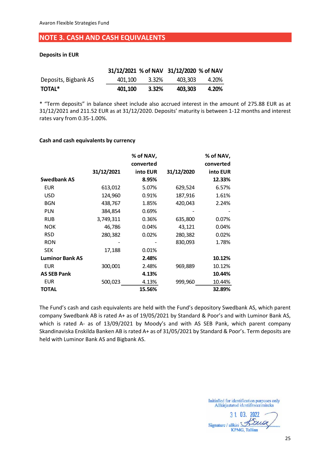## <span id="page-24-0"></span>**NOTE 3. CASH AND CASH EQUIVALENTS**

#### **Deposits in EUR**

|                      |         |       | 31/12/2021 % of NAV 31/12/2020 % of NAV |       |
|----------------------|---------|-------|-----------------------------------------|-------|
| Deposits, Bigbank AS | 401.100 | 3.32% | 403.303                                 | 4.20% |
| <b>TOTAL*</b>        | 401.100 | 3.32% | 403.303                                 | 4.20% |

\* "Term deposits" in balance sheet include also accrued interest in the amount of 275.88 EUR as at 31/12/2021 and 211.52 EUR as at 31/12/2020. Deposits' maturity is between 1-12 months and interest rates vary from 0.35-1.00%.

#### **Cash and cash equivalents by currency**

|                        |            | % of NAV, |            | % of NAV, |
|------------------------|------------|-----------|------------|-----------|
|                        |            | converted |            | converted |
|                        | 31/12/2021 | into EUR  | 31/12/2020 | into EUR  |
| <b>Swedbank AS</b>     |            | 8.95%     |            | 12.33%    |
| <b>EUR</b>             | 613,012    | 5.07%     | 629,524    | 6.57%     |
| <b>USD</b>             | 124,960    | 0.91%     | 187,916    | 1.61%     |
| <b>BGN</b>             | 438,767    | 1.85%     | 420,043    | 2.24%     |
| <b>PLN</b>             | 384,854    | 0.69%     |            |           |
| <b>RUB</b>             | 3,749,311  | 0.36%     | 635,800    | 0.07%     |
| <b>NOK</b>             | 46,786     | 0.04%     | 43,121     | 0.04%     |
| <b>RSD</b>             | 280,382    | 0.02%     | 280,382    | 0.02%     |
| <b>RON</b>             |            |           | 830,093    | 1.78%     |
| <b>SEK</b>             | 17,188     | 0.01%     |            |           |
| <b>Luminor Bank AS</b> |            | 2.48%     |            | 10.12%    |
| <b>EUR</b>             | 300,001    | 2.48%     | 969,889    | 10.12%    |
| <b>AS SEB Pank</b>     |            | 4.13%     |            | 10.44%    |
| <b>EUR</b>             | 500,023    | 4.13%     | 999,960    | 10.44%    |
| <b>TOTAL</b>           |            | 15.56%    |            | 32.89%    |

The Fund's cash and cash equivalents are held with the Fund's depository Swedbank AS, which parent company Swedbank AB is rated A+ as of 19/05/2021 by Standard & Poor's and with Luminor Bank AS, which is rated A- as of 13/09/2021 by Moody's and with AS SEB Pank, which parent company Skandinaviska Enskilda Banken AB is rated A+ as of 31/05/2021 by Standard & Poor's. Term deposits are held with Luminor Bank AS and Bigbank AS.

3 1. 03. 2022 Signature / allkiri Street **KPMG, Tallinn**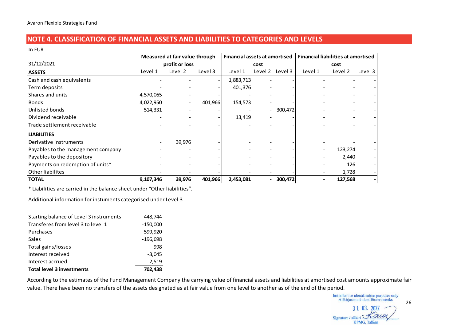## **NOTE 4. CLASSIFICATION OF FINANCIAL ASSETS AND LIABILITIES TO CATEGORIES AND LEVELS**

In EUR

|                                                                           |                              | Measured at fair value through |         |           | <b>Financial assets at amortised</b> | <b>Financial liabilities at amortised</b> |         |         |
|---------------------------------------------------------------------------|------------------------------|--------------------------------|---------|-----------|--------------------------------------|-------------------------------------------|---------|---------|
| 31/12/2021                                                                |                              | profit or loss                 |         |           | cost                                 |                                           | cost    |         |
| <b>ASSETS</b>                                                             | Level 1                      | Level 2                        | Level 3 | Level 1   | Level 2<br>Level 3                   | Level 1                                   | Level 2 | Level 3 |
| Cash and cash equivalents                                                 |                              |                                |         | 1,883,713 |                                      |                                           |         |         |
| Term deposits                                                             |                              |                                |         | 401,376   |                                      |                                           |         |         |
| Shares and units                                                          | 4,570,065                    |                                |         |           |                                      |                                           |         |         |
| <b>Bonds</b>                                                              | 4,022,950                    |                                | 401,966 | 154,573   |                                      |                                           |         |         |
| Unlisted bonds                                                            | 514,331                      |                                |         |           | $-300,472$                           |                                           |         |         |
| Dividend receivable                                                       |                              |                                |         | 13,419    |                                      |                                           |         |         |
| Trade settlement receivable                                               |                              |                                |         |           |                                      |                                           |         |         |
| <b>LIABILITIES</b>                                                        |                              |                                |         |           |                                      |                                           |         |         |
| Derivative instruments                                                    | $\qquad \qquad \blacksquare$ | 39,976                         |         |           |                                      |                                           |         |         |
| Payables to the management company                                        |                              |                                |         |           |                                      |                                           | 123,274 |         |
| Payables to the depository                                                |                              |                                |         |           |                                      |                                           | 2,440   |         |
| Payments on redemption of units*                                          |                              |                                |         |           |                                      |                                           | 126     |         |
| Other liabilites                                                          |                              |                                |         |           |                                      |                                           | 1,728   |         |
| <b>TOTAL</b>                                                              | 9,107,346                    | 39,976                         | 401,966 | 2,453,081 | $-300,472$                           |                                           | 127,568 |         |
| * Liabilities are carried in the balance sheet under "Other liabilities". |                              |                                |         |           |                                      |                                           |         |         |
| Additional information for instuments categorised under Level 3           |                              |                                |         |           |                                      |                                           |         |         |

<span id="page-25-0"></span>

| Starting balance of Level 3 instruments | 448,744    |
|-----------------------------------------|------------|
| Transferes from level 3 to level 1      | $-150,000$ |
| Purchases                               | 599,920    |
| Sales                                   | $-196,698$ |
| Total gains/losses                      | 998        |
| Interest received                       | $-3,045$   |
| Interest accrued                        | 2,519      |
| <b>Total level 3 investments</b>        | 702.438    |

According to the estimates of the Fund Management Company the carrying value of financial assets and liabilities at amortised cost amounts approximate fair value. There have been no transfers of the assets designated as at fair value from one level to another as of the end of the period.

26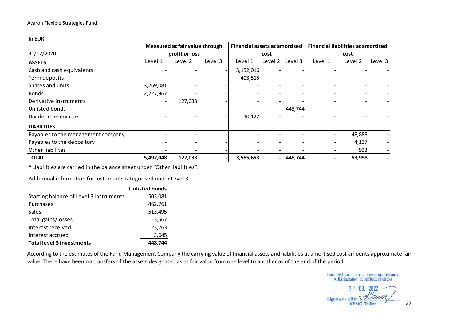In EUR

|                                    |                          | Measured at fair value through |         | <b>Financial assets at amortised</b> |         |         |         | <b>Financial liabilities at amortised</b> |         |
|------------------------------------|--------------------------|--------------------------------|---------|--------------------------------------|---------|---------|---------|-------------------------------------------|---------|
| 31/12/2020                         |                          | profit or loss                 |         |                                      | cost    |         |         | cost                                      |         |
| <b>ASSETS</b>                      | Level 1                  | Level 2                        | Level 3 | Level 1                              | Level 2 | Level 3 | Level 1 | Level 2                                   | Level 3 |
| Cash and cash equivalents          |                          |                                |         | 3,152,016                            |         |         |         |                                           |         |
| Term deposits                      |                          |                                |         | 403,515                              |         |         |         |                                           |         |
| Shares and units                   | 3,269,081                |                                |         |                                      |         |         |         |                                           |         |
| <b>Bonds</b>                       | 2,227,967                |                                |         |                                      |         |         |         |                                           |         |
| Derivative instruments             | $\overline{\phantom{a}}$ | 127,033                        |         |                                      |         |         |         |                                           |         |
| Unlisted bonds                     |                          |                                |         |                                      |         | 448,744 |         |                                           |         |
| Dividend receivable                |                          |                                |         | 10,122                               |         |         |         |                                           |         |
| <b>LIABILITIES</b>                 |                          |                                |         |                                      |         |         |         |                                           |         |
| Payables to the management company |                          |                                |         |                                      |         |         |         | 48,888                                    |         |
| Payables to the depository         |                          |                                |         |                                      |         |         |         | 4,137                                     |         |
| Other liabilites                   |                          |                                |         |                                      |         |         |         | 933                                       |         |
| <b>TOTAL</b>                       | 5,497,048                | 127,033                        |         | 3,565,653                            | $\sim$  | 448,744 |         | 53,958                                    |         |

\* Liabilities are carried in the balance sheet under "Other liabilities".

Additional information for instuments categorised under Level 3

|                                         | <b>Unlisted bonds</b> |
|-----------------------------------------|-----------------------|
| Starting balance of Level 3 instruments | 503,081               |
| Purchases                               | 462,761               |
| Sales                                   | $-513,495$            |
| Total gains/losses                      | $-3,567$              |
| Interest received                       | 23,763                |
| Interest accrued                        | 3,045                 |
| <b>Total level 3 investments</b>        | 744                   |

According to the estimates of the Fund Management Company the carrying value of financial assets and liabilities at amortised cost amounts approximate fair value. There have been no transfers of the assets designated as at fair value from one level to another as of the end of the period.

Initialled for identification purposes only<br>Allkirjastatud identifitseerimiseks

3 1 03. 2022 Signature / allkiri **KPMG, Tallinn**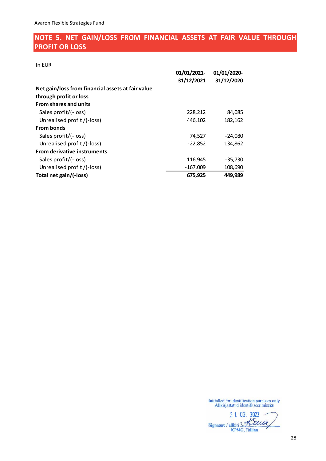## <span id="page-27-0"></span>**NOTE 5. NET GAIN/LOSS FROM FINANCIAL ASSETS AT FAIR VALUE THROUGH PROFIT OR LOSS**

In EUR

|                                                   | 01/01/2021- | 01/01/2020- |
|---------------------------------------------------|-------------|-------------|
|                                                   | 31/12/2021  | 31/12/2020  |
| Net gain/loss from financial assets at fair value |             |             |
| through profit or loss                            |             |             |
| <b>From shares and units</b>                      |             |             |
| Sales profit/(-loss)                              | 228,212     | 84,085      |
| Unrealised profit /(-loss)                        | 446,102     | 182,162     |
| <b>From bonds</b>                                 |             |             |
| Sales profit/(-loss)                              | 74,527      | $-24,080$   |
| Unrealised profit /(-loss)                        | $-22,852$   | 134,862     |
| <b>From derivative instruments</b>                |             |             |
| Sales profit/(-loss)                              | 116,945     | $-35,730$   |
| Unrealised profit /(-loss)                        | $-167,009$  | 108,690     |
| Total net gain/(-loss)                            | 675,925     | 449,989     |

3 1. 03. 2022 Signature / allkiri XXLO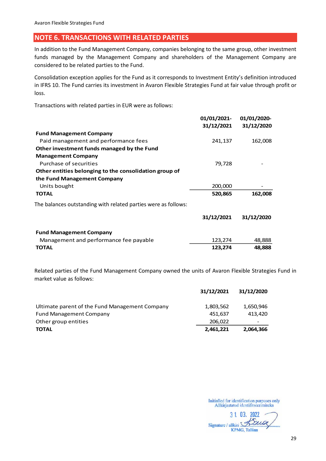## <span id="page-28-0"></span>**NOTE 6. TRANSACTIONS WITH RELATED PARTIES**

In addition to the Fund Management Company, companies belonging to the same group, other investment funds managed by the Management Company and shareholders of the Management Company are considered to be related parties to the Fund.

Consolidation exception applies for the Fund as it corresponds to Investment Entity's definition introduced in IFRS 10. The Fund carries its investment in Avaron Flexible Strategies Fund at fair value through profit or loss.

Transactions with related parties in EUR were as follows:

|                                                                | 01/01/2021-<br>31/12/2021 | 01/01/2020-<br>31/12/2020 |
|----------------------------------------------------------------|---------------------------|---------------------------|
| <b>Fund Management Company</b>                                 |                           |                           |
| Paid management and performance fees                           | 241,137                   | 162,008                   |
| Other investment funds managed by the Fund                     |                           |                           |
| <b>Management Company</b>                                      |                           |                           |
| Purchase of securities                                         | 79,728                    |                           |
| Other entities belonging to the consolidation group of         |                           |                           |
| the Fund Management Company                                    |                           |                           |
| Units bought                                                   | 200,000                   |                           |
| <b>TOTAL</b>                                                   | 520,865                   | 162,008                   |
| The balances outstanding with related parties were as follows: |                           |                           |
|                                                                | 31/12/2021                | 31/12/2020                |
| <b>Fund Management Company</b>                                 |                           |                           |
| Management and performance fee payable                         | 123,274                   | 48,888                    |
| <b>TOTAL</b>                                                   | 123,274                   | 48,888                    |

Related parties of the Fund Management Company owned the units of Avaron Flexible Strategies Fund in market value as follows:

|                                                | 31/12/2021 | 31/12/2020 |
|------------------------------------------------|------------|------------|
| Ultimate parent of the Fund Management Company | 1,803,562  | 1,650,946  |
| <b>Fund Management Company</b>                 | 451.637    | 413.420    |
| Other group entities                           | 206,022    | -          |
| <b>TOTAL</b>                                   | 2,461,221  | 2,064,366  |

3 1 03. 2022 Signature / allkiri Sau **KPMG, Tallinn**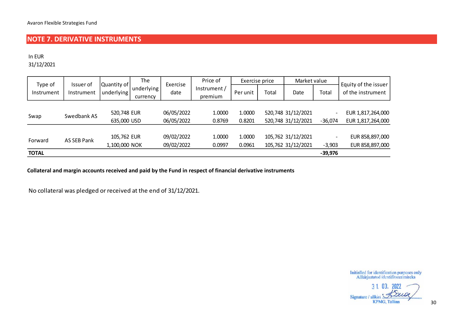## **NOTE 7. DERIVATIVE INSTRUMENTS**

In EUR

31/12/2021

| Type of      | Issuer of   | Quantity of | The                    | Exercise   | Price of                | Exercise price |                    | Market value       |                          | Equity of the issuer |
|--------------|-------------|-------------|------------------------|------------|-------------------------|----------------|--------------------|--------------------|--------------------------|----------------------|
| Instrument   | Instrument  | underlying  | underlying<br>currency | date       | Instrument /<br>premium | Per unit       | Total              | Date               | Total                    | of the instrument    |
|              |             |             |                        |            |                         |                |                    |                    |                          |                      |
| Swap         | Swedbank AS | 520,748 EUR |                        | 06/05/2022 | 1.0000                  | 1.0000         |                    | 520,748 31/12/2021 |                          | EUR 1,817,264,000    |
|              |             | 635,000 USD |                        | 06/05/2022 | 0.8769                  | 0.8201         |                    | 520,748 31/12/2021 | $-36,074$                | EUR 1,817,264,000    |
|              |             |             |                        |            |                         |                |                    |                    |                          |                      |
|              |             | 105,762 EUR |                        | 09/02/2022 | 1.0000                  | 1.0000         |                    | 105,762 31/12/2021 | $\overline{\phantom{a}}$ | EUR 858,897,000      |
| Forward      | AS SEB Pank |             | 1,100,000 NOK          |            | 0.0997                  | 0.0961         | 105,762 31/12/2021 |                    | $-3,903$                 | EUR 858,897,000      |
| <b>TOTAL</b> |             |             |                        |            |                         |                |                    |                    | $-39,976$                |                      |

<span id="page-29-0"></span>**Collateral and margin accounts received and paid by the Fund in respect of financial derivative instruments** 

No collateral was pledged or received at the end of 31/12/2021.

3 1 03. 2022 aux Signature / allkiri **KPMG, Tallinn**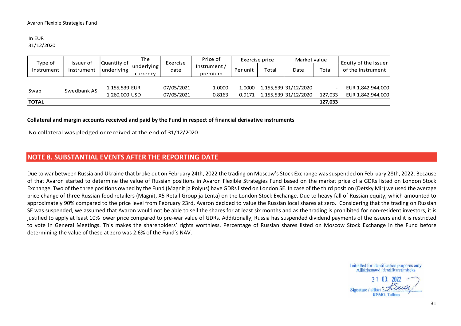#### In EUR 31/12/2020

| Type of      | Issuer of   | Quantity of   | The                    | Exercise   | Price of                | Exercise price                 |       | Market value         |         | Equity of the issuer |
|--------------|-------------|---------------|------------------------|------------|-------------------------|--------------------------------|-------|----------------------|---------|----------------------|
| Instrument   | Instrument  | underlying    | underlying<br>currency | date       | Instrument /<br>premium | Per unit                       | Total | Date                 | Total   | of the instrument    |
|              |             |               |                        |            |                         |                                |       |                      |         |                      |
| Swap         | Swedbank AS | 1,155,539 EUR |                        | 07/05/2021 | 1.0000                  | 1.0000                         |       | 1,155,539 31/12/2020 |         | EUR 1,842,944,000    |
|              |             |               | 1,260,000 USD          |            | 0.8163                  | 1,155,539 31/12/2020<br>0.9171 |       |                      | 127.033 | EUR 1,842,944,000    |
| <b>TOTAL</b> |             |               |                        |            |                         |                                |       |                      | 127,033 |                      |

#### **Collateral and margin accounts received and paid by the Fund in respect of financial derivative instruments**

No collateral was pledged or received at the end of 31/12/2020.

## **NOTE 8. SUBSTANTIAL EVENTS AFTER THE REPORTING DATE**

<span id="page-30-0"></span>Due to war between Russia and Ukraine that broke out on February 24th, 2022 the trading on Moscow's Stock Exchange was suspended on February 28th, 2022. Because of that Avaron started to determine the value of Russian positions in Avaron Flexible Strategies Fund based on the market price of a GDRs listed on London Stock Exchange. Two of the three positions owned by the Fund (Magnit ja Polyus) have GDRs listed on London SE. In case of the third position (Detsky Mir) we used the average price change of three Russian food retailers (Magnit, X5 Retail Group ja Lenta) on the London Stock Exchange. Due to heavy fall of Russian equity, which amounted to approximately 90% compared to the price level from February 23rd, Avaron decided to value the Russian local shares at zero. Considering that the trading on Russian SE was suspended, we assumed that Avaron would not be able to sell the shares for at least six months and as the trading is prohibited for non-resident investors, it is justified to apply at least 10% lower price compared to pre-war value of GDRs. Additionally, Russia has suspended dividend payments of the issuers and it is restricted to vote in General Meetings. This makes the shareholders' rights worthless. Percentage of Russian shares listed on Moscow Stock Exchange in the Fund before determining the value of these at zero was 2.6% of the Fund's NAV.

3 1 03, 2022 Sionature / allkiri **KPMG, Tallinn**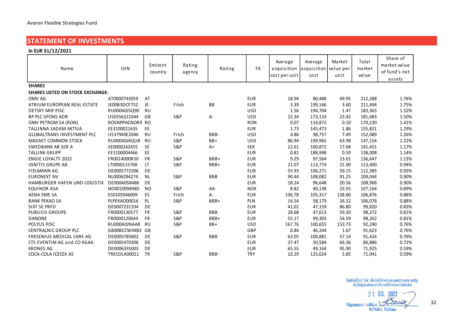## <span id="page-31-0"></span>**STATEMENT OF INVESTMENTS**

| <b>STATEMENT OF INVESTMENTS</b>         |                 |                    |                  |            |            |                                         |                                          |                |                          |                                                     |
|-----------------------------------------|-----------------|--------------------|------------------|------------|------------|-----------------------------------------|------------------------------------------|----------------|--------------------------|-----------------------------------------------------|
| In EUR 31/12/2021                       |                 |                    |                  |            |            |                                         |                                          |                |                          |                                                     |
| Name                                    | <b>ISIN</b>     | Emitent<br>country | Rating<br>agency | Rating     | <b>FX</b>  | Average<br>acquisition<br>cost per unit | Average<br>acquisition value per<br>cost | Market<br>unit | Total<br>market<br>value | Share of<br>market value<br>of fund's net<br>assets |
| <b>SHARES</b>                           |                 |                    |                  |            |            |                                         |                                          |                |                          |                                                     |
| <b>SHARES LISTED ON STOCK EXCHANGE:</b> |                 |                    |                  |            |            |                                         |                                          |                |                          |                                                     |
| OMV AG                                  | AT0000743059    | AT                 |                  |            | <b>EUR</b> | 18.94                                   | 80,488                                   | 49.95          | 212,288                  | 1.76%                                               |
| ATRIUM EUROPEAN REAL ESTATE             | JE00B3DCF752    | JE                 | Fitch            | BB         | <b>EUR</b> | 3.39                                    | 199,146                                  | 3.60           | 211,494                  | 1.75%                                               |
| <b>DETSKY MIR PJSC</b>                  | RU000A0JSQ90    | <b>RU</b>          |                  |            | <b>USD</b> | 1.56                                    | 194,704                                  | 1.47           | 183,363                  | 1.52%                                               |
| <b>BP PLC-SPONS ADR</b>                 | US0556221044    | GB                 | <b>S&amp;P</b>   | $A -$      | <b>USD</b> | 22.34                                   | 173,133                                  | 23.42          | 181,483                  | 1.50%                                               |
| OMV PETROM SA (RON)                     | ROSNPPACNOR9 RO |                    |                  |            | <b>RON</b> | 0.07                                    | 114,872                                  | 0.10           | 170,230                  | 1.41%                                               |
| TALLINNA SADAM AKTSIA                   | EE3100021635    | <b>EE</b>          |                  |            | <b>EUR</b> | 1.73                                    | 145,473                                  | 1.86           | 155,821                  | 1.29%                                               |
| <b>GLOBALTRANS INVESTMENT PLC</b>       | US37949E2046    | <b>RU</b>          | Fitch            | BBB-       | <b>USD</b> | 4.86                                    | 98,757                                   | 7.49           | 152,089                  | 1.26%                                               |
| <b>MAGNIT COMMON STOCK</b>              | RU000A0JKQU8    | <b>RU</b>          | <b>S&amp;P</b>   | $BB+$      | <b>USD</b> | 86.94                                   | 199,965                                  | 63.98          | 147,154                  | 1.22%                                               |
| SWEDBANK AB SER A                       | SE0000242455    | <b>SE</b>          | <b>S&amp;P</b>   | $A+$       | <b>SEK</b> | 12.61                                   | 100,872                                  | 17.68          | 141,451                  | 1.17%                                               |
| <b>TALLINK GRUPP</b>                    | EE3100004466    | EE                 |                  |            | <b>EUR</b> | 0.81                                    | 188,998                                  | 0.59           | 138,008                  | 1.14%                                               |
| <b>ENGIE LOYALTY 2023</b>               | FR0014000R50    | <b>FR</b>          | <b>S&amp;P</b>   | BBB+       | <b>EUR</b> | 9.29                                    | 97,564                                   | 13.01          | 136,647                  | 1.13%                                               |
| <b>IGNITIS GRUPE AB</b>                 | LT0000115768    | LT.                | <b>S&amp;P</b>   | BBB+       | <b>EUR</b> | 21.07                                   | 113,774                                  | 21.00          | 113,400                  | 0.94%                                               |
| <b>FIELMANN AG</b>                      | DE0005772206    | DE                 |                  |            | <b>EUR</b> | 55.93                                   | 106,271                                  | 59.15          | 112,385                  | 0.93%                                               |
| <b>EURONEXT NV</b>                      | NL0006294274    | <b>NL</b>          | <b>S&amp;P</b>   | <b>BBB</b> | <b>EUR</b> | 90.44                                   | 108,082                                  | 91.25          | 109,044                  | 0.90%                                               |
| HAMBURGER HAFEN UND LOGISTIK            | DE000A0S8488    | <b>DE</b>          |                  |            | <b>EUR</b> | 18.24                                   | 96,648                                   | 20.56          | 108,968                  | 0.90%                                               |
| EQUINOR ASA                             | NO0010096985    | N <sub>O</sub>     | <b>S&amp;P</b>   | AA-        | <b>NOK</b> | 8.82                                    | 40,138                                   | 23.55          | 107,164                  | 0.89%                                               |
| <b>AENA SME SA</b>                      | ES0105046009    | <b>ES</b>          | Fitch            | A-         | <b>EUR</b> | 136.78                                  | 105,317                                  | 138.80         | 106,876                  | 0.88%                                               |
| <b>BANK PEKAO SA</b>                    | PLPEKAO00016    | <b>PL</b>          | <b>S&amp;P</b>   | BBB+       | PLN        | 14.54                                   | 58,179                                   | 26.52          | 106,078                  | 0.88%                                               |
| SIXT SE PRFD                            | DE0007231334    | DE                 |                  |            | <b>EUR</b> | 41.01                                   | 47,159                                   | 86.80          | 99,820                   | 0.83%                                               |
| <b>PUBLICIS GROUPE</b>                  | FR0000130577    | <b>FR</b>          | <b>S&amp;P</b>   | <b>BBB</b> | <b>EUR</b> | 28.68                                   | 47,613                                   | 59.20          | 98,272                   | 0.81%                                               |
| DANONE                                  | FR0000120644    | <b>FR</b>          | <b>S&amp;P</b>   | BBB+       | <b>EUR</b> | 55.17                                   | 99,303                                   | 54.59          | 98,262                   | 0.81%                                               |
| POLYUS PJSC                             | RU000A0JNAA8    | <b>RU</b>          | <b>S&amp;P</b>   | $BB+$      | <b>USD</b> | 167.76                                  | 100,655                                  | 153.73         | 92,240                   | 0.76%                                               |
| <b>CENTRALNIC GROUP PLC</b>             | GB00BCCW4X83    | GB                 |                  |            | GBP        | 0.84                                    | 46,244                                   | 1.67           | 91,623                   | 0.76%                                               |
| FRESENIUS MEDICAL CARE AG               | DE0005785802    | DE                 | <b>S&amp;P</b>   | <b>BBB</b> | <b>EUR</b> | 63.05                                   | 100,881                                  | 57.14          | 91,424                   | 0.76%                                               |
| CTS EVENTIM AG and CO KGAA              | DE0005470306    | DE                 |                  |            | <b>EUR</b> | 37.47                                   | 50,584                                   | 64.36          | 86,886                   | 0.72%                                               |
| <b>KRONES AG</b>                        | DE0006335003    | DE                 |                  |            | <b>EUR</b> | 65.55                                   | 49,164                                   | 95.90          | 71,925                   | 0.59%                                               |
| COCA-COLA I CECEK AS                    | TRECOLA00011    | <b>TR</b>          | <b>S&amp;P</b>   | BBB-       | <b>TRY</b> | 10.29                                   | 125,024                                  | 5.85           | 71,041                   | 0.59%                                               |
|                                         |                 |                    |                  |            |            |                                         |                                          |                |                          |                                                     |

3 1 03 2022 Law Signature / allkiri **KPMG, Tallinn**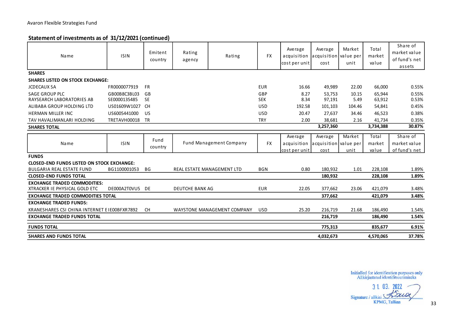## **Statement of investments as of 31/12/2021 (continued)**

| Avaron Flexible Strategies Fund                                      |                              |                    |                        |                                |                   |                                         |                                          |                |                          |                                                     |
|----------------------------------------------------------------------|------------------------------|--------------------|------------------------|--------------------------------|-------------------|-----------------------------------------|------------------------------------------|----------------|--------------------------|-----------------------------------------------------|
| Statement of investments as of 31/12/2021 (continued)                |                              |                    |                        |                                |                   |                                         |                                          |                |                          |                                                     |
| Name                                                                 | <b>ISIN</b>                  | Emitent<br>country | Rating<br>agency       | Rating                         | <b>FX</b>         | Average<br>acquisition<br>cost per unit | Average<br>acquisition value per<br>cost | Market<br>unit | Total<br>market<br>value | Share of<br>market value<br>of fund's net<br>assets |
| <b>SHARES</b>                                                        |                              |                    |                        |                                |                   |                                         |                                          |                |                          |                                                     |
| <b>SHARES LISTED ON STOCK EXCHANGE:</b>                              |                              |                    |                        |                                |                   |                                         |                                          |                |                          |                                                     |
| <b>JCDECAUX SA</b>                                                   | FR0000077919                 | <b>FR</b>          |                        |                                | <b>EUR</b>        | 16.66                                   | 49,989                                   | 22.00          | 66,000                   | 0.55%                                               |
| SAGE GROUP PLC<br>RAYSEARCH LABORATORIES AB                          | GB00B8C3BL03<br>SE0000135485 | GB<br><b>SE</b>    |                        |                                | GBP<br><b>SEK</b> | 8.27<br>8.34                            | 53,753<br>97,191                         | 10.15<br>5.49  | 65,944<br>63,912         | 0.55%<br>0.53%                                      |
| ALIBABA GROUP HOLDING LTD                                            | US01609W1027 CH              |                    |                        |                                | <b>USD</b>        | 192.58                                  | 101,103                                  | 104.46         | 54,841                   | 0.45%                                               |
| <b>HERMAN MILLER INC</b>                                             | US6005441000                 | US.                |                        |                                | <b>USD</b>        | 20.47                                   | 27,637                                   | 34.46          | 46,523                   | 0.38%                                               |
| TAV HAVALIMANLARI HOLDING                                            | TRETAVH00018                 | TR                 |                        |                                | <b>TRY</b>        | 2.00                                    | 38,681                                   | 2.16           | 41.734                   | 0.35%                                               |
| <b>SHARES TOTAL</b>                                                  |                              |                    |                        |                                |                   |                                         | 3,257,360                                |                | 3,734,388                | 30.87%                                              |
|                                                                      |                              |                    |                        |                                |                   |                                         |                                          | Market         | Total                    | Share of                                            |
| Name                                                                 | <b>ISIN</b>                  | Fund<br>country    |                        | <b>Fund Management Company</b> | <b>FX</b>         | Average<br>acquisition                  | Average<br>acquisition value per         |                | market                   | market value                                        |
|                                                                      |                              |                    |                        |                                |                   | cost per unit                           | cost                                     | unit           | value                    | of fund's net                                       |
| <b>FUNDS</b>                                                         |                              |                    |                        |                                |                   |                                         |                                          |                |                          |                                                     |
| <b>CLOSED-END FUNDS LISTED ON STOCK EXCHANGE:</b>                    |                              |                    |                        |                                |                   |                                         |                                          |                |                          |                                                     |
| <b>BULGARIA REAL ESTATE FUND</b>                                     | BG1100001053                 | BG                 |                        | REAL ESTATE MANAGEMENT LTD     | <b>BGN</b>        | 0.80                                    | 180,932                                  | 1.01           | 228,108                  | 1.89%                                               |
| <b>CLOSED-END FUNDS TOTAL</b>                                        |                              |                    |                        |                                |                   |                                         | 180,932                                  |                | 228,108                  | 1.89%                                               |
| <b>EXCHANGE TRADED COMMODITIES:</b><br>XTRACKER IE PHYSICAL GOLD ETC | DE000A2T0VU5 DE              |                    | <b>DEUTCHE BANK AG</b> |                                | <b>EUR</b>        | 22.05                                   | 377,662                                  | 23.06          | 421,079                  | 3.48%                                               |
| <b>EXCHANGE TRADED COMMODITIES TOTAL</b>                             |                              |                    |                        |                                |                   |                                         | 377,662                                  |                | 421,079                  | 3.48%                                               |
| <b>EXCHANGE TRADED FUNDS:</b>                                        |                              |                    |                        |                                |                   |                                         |                                          |                |                          |                                                     |
| KRANESHARES CSI CHINA INTERNET E IE00BFXR7892                        |                              | <b>CH</b>          |                        | WAYSTONE MANAGEMENT COMPANY    | <b>USD</b>        | 25.20                                   | 216,719                                  | 21.68          | 186,490                  | 1.54%                                               |
| <b>EXCHANGE TRADED FUNDS TOTAL</b>                                   |                              |                    |                        |                                |                   |                                         | 216,719                                  |                | 186,490                  | 1.54%                                               |
| <b>FUNDS TOTAL</b>                                                   |                              |                    |                        |                                |                   |                                         | 775,313                                  |                | 835,677                  | 6.91%                                               |
| <b>SHARES AND FUNDS TOTAL</b>                                        |                              |                    |                        |                                |                   |                                         | 4,032,673                                |                | 4,570,065                | 37.78%                                              |

3 1 03. 2022 aux Signature / allkiri KPMG, Tallinn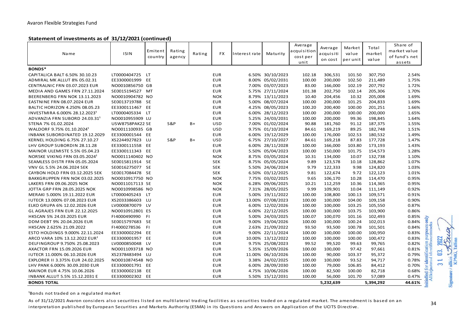| Avaron Flexible Strategies Fund                       |                        |                    |                  |        |            |               |                   |                                            |                                 |                             |                          |                                                     |                                                 |
|-------------------------------------------------------|------------------------|--------------------|------------------|--------|------------|---------------|-------------------|--------------------------------------------|---------------------------------|-----------------------------|--------------------------|-----------------------------------------------------|-------------------------------------------------|
| Statement of investments as of 31/12/2021 (continued) |                        |                    |                  |        |            |               |                   |                                            |                                 |                             |                          |                                                     |                                                 |
| Name                                                  | <b>ISIN</b>            | Emitent<br>country | Rating<br>agency | Rating | FX         | Interest rate | Maturity          | Average<br>icquisition<br>cost per<br>unit | Average<br>acquisiti<br>on cost | Market<br>value<br>per unit | Total<br>market<br>value | Share of<br>market value<br>of fund's net<br>assets |                                                 |
| <b>BONDS*</b>                                         |                        |                    |                  |        |            |               |                   |                                            |                                 |                             |                          |                                                     |                                                 |
| CAPITALICA BALT 6.50% 30.10.23                        | LT0000404725           | LT <sub>1</sub>    |                  |        | <b>EUR</b> |               | 6.50% 30/10/2023  | 102.18                                     | 306,531                         | 101.50                      | 307,750                  | 2.54%                                               |                                                 |
| ADMIRAL MK ALLUT 8% 05.02.31                          | EE3300001999           | EE                 |                  |        | <b>EUR</b> |               | 8.00% 05/02/2031  | 100.00                                     | 200,000                         | 102.50                      | 211,489                  | 1.75%                                               |                                                 |
| CENTRALNIC FRN 03.07.2023 EUR                         | NO0010856750 GB        |                    |                  |        | <b>EUR</b> |               | 7.00% 03/07/2023  | 83.00                                      | 166,000                         | 102.19                      | 207,792                  | 1.72%                                               |                                                 |
| MEDIA AND GAMES FRN 27.11.2024                        | SE0015194527           | MT                 |                  |        | <b>EUR</b> |               | 5.75% 27/11/2024  | 101.38                                     | 202,750                         | 102.14                      | 205,306                  | 1.70%                                               |                                                 |
| BEERENBERG FRN NOK 13.11.2023                         | NO0010904782 NO        |                    |                  |        | <b>NOK</b> |               | 8.79% 13/11/2023  | 10.40                                      | 204,456                         | 10.32                       | 205,008                  | 1.69%                                               |                                                 |
| EASTNINE FRN 08.07.2024 EUR                           | SE0013719788 SE        |                    |                  |        | <b>EUR</b> |               | 5.00% 08/07/2024  | 100.00                                     | 200,000                         | 101.25                      | 204,833                  | 1.69%                                               |                                                 |
| BALTIC HORIZON 4.250% 08.05.23                        | EE3300111467           | EE                 |                  |        | <b>EUR</b> |               | 4.25% 08/05/2023  | 100.20                                     | 200,400                         | 100.00                      | 201,251                  | 1.66%                                               |                                                 |
| INVESTMIRA 6.000% 28.12.2023 <sup>1</sup>             | LT0000405334           | <b>LT</b>          |                  |        | <b>EUR</b> |               | 6.00% 28/12/2023  | 100.00                                     | 200,000                         | 100.00                      | 200,000                  | 1.65%                                               |                                                 |
| ADVANZIA FRN SUBORD 24.03.31 <sup>1</sup>             | NO0010955909 LU        |                    |                  |        | <b>EUR</b> |               | 5.25% 24/03/2031  | 100.00                                     | 200,000                         | 99.36                       | 198,845                  | 1.64%                                               |                                                 |
| STENA 7% 01.02.2024                                   | <b>USW8758PAK22 SE</b> |                    | S&P              | $B+$   | <b>USD</b> |               | 7.00% 01/02/2024  | 90.88                                      | 181,760                         | 91.12                       | 187,375                  | 1.55%                                               |                                                 |
| WALDORF 9.75% 01.10.2024 <sup>1</sup>                 | NO0011100935 GB        |                    |                  |        | <b>USD</b> |               | 9.75% 01/10/2024  | 84.61                                      | 169,219                         | 89.25                       | 182,748                  | 1.51%                                               |                                                 |
| INBANK SUBORDINATED 19.12.2029                        | EE3300001544 EE        |                    |                  |        | <b>EUR</b> |               | 6.00% 19/12/2029  | 100.00                                     | 176,000                         | 102.53                      | 180,532                  | 1.49%                                               |                                                 |
| KERNEL HOLDING 6.75% 27.10.27                         | XS2244927823           | LU                 | <b>S&amp;P</b>   | $B+$   | <b>USD</b> |               | 6.75% 27/10/2027  | 84.61                                      | 169,218                         | 87.83                       | 177,728                  | 1.47%                                               |                                                 |
| LHV GROUP SUBORDIN 28.11.28                           | EE3300111558           | EE                 |                  |        | <b>EUR</b> |               | 6.00% 28/11/2028  | 100.00                                     | 166,000                         | 103.80                      | 173,193                  | 1.43%                                               |                                                 |
| MAINOR ULEMISTE 5.5% 05.04.23                         | EE3300111343           | EE                 |                  |        | <b>EUR</b> |               | 5.50% 05/04/2023  | 100.00                                     | 150,000                         | 101.75                      | 154,573                  | 1.28%                                               |                                                 |
| NOR5KE VIKING FRN 03.05.2024 <sup>1</sup>             | NO0011140402 NO        |                    |                  |        | <b>NOK</b> |               | 8.75% 03/05/2024  | 10.31                                      | 134,000                         | 10.07                       | 132,738                  | 1.10%                                               |                                                 |
| SEAMLESS DISTR FRN 05.05.2024                         | SE0015811914           | <b>SE</b>          |                  |        | <b>SEK</b> |               | 8.75% 05/05/2024  | 9.89                                       | 123,578                         | 10.18                       | 128,862                  | 1.07%                                               |                                                 |
| VNV GL 5.5% 24.06.2024 SEK                            | SE0016275077 SE        |                    |                  |        | <b>SEK</b> |               | 5.50% 24/06/2024  | 9.79                                       | 122,333                         | 9.98                        | 124,820                  | 1.03%                                               |                                                 |
| CAYBON HOLD FRN 03.12.2025 SEK                        | SE0017084478 SE        |                    |                  |        | <b>SEK</b> |               | 6.50% 03/12/2025  | 9.81                                       | 122,674                         | 9.72                        | 122,123                  | 1.01%                                               |                                                 |
| BAKKGRUPPEN FRN NOK 03.02.2025                        | NO0010917750 NO        |                    |                  |        | <b>NOK</b> |               | 7.75% 03/02/2025  | 9.65                                       | 106,170                         | 10.28                       | 114,470                  | 0.95%                                               |                                                 |
| LAKERS FRN 09.06.2025 NOK                             | NO0011017113 SE        |                    |                  |        | <b>NOK</b> |               | 6.28% 09/06/2025  | 10.21                                      | 112,259                         | 10.36                       | 114,365                  | 0.95%                                               |                                                 |
| JOTTA GRP FRN 28.05.2025 NOK                          | NO0010998586 NO        |                    |                  |        | <b>NOK</b> |               | 7.31% 28/05/2025  | 9.99                                       | 109,901                         | 10.04                       | 111,149                  | 0.92%                                               |                                                 |
| MERAKI 5.000% 19.11.2022 EUR                          | LT0000405243           | LT.                |                  |        | <b>EUR</b> |               | 5.00% 19/11/2022  | 100.00                                     | 108,800                         | 100.13                      | 109,571                  | 0.91%                                               |                                                 |
| IUTECR 13.000% 07.08.2023 EUR                         | XS2033386603           | LU                 |                  |        | <b>EUR</b> |               | 13.00% 07/08/2023 | 100.00                                     | 100,000                         | 104.00                      | 109,158                  | 0.90%                                               |                                                 |
| ELKO GRUPA 6% 12.02.2026 EUR                          | LV0000870079           | LV                 |                  |        | <b>EUR</b> |               | 6.00% 12/02/2026  | 100.00                                     | 100,000                         | 103.25                      | 105,550                  | 0.87%                                               |                                                 |
| <b>GL AGRAJES FRN EUR 22.12.2025</b>                  | NO0010912801 ES        |                    |                  |        | <b>EUR</b> |               | 6.00% 22/12/2025  | 100.00                                     | 100,000                         | 103.75                      | 103,900                  | 0.86%                                               |                                                 |
| HKSCAN 5% 24.03.2025 EUR                              | F14000490990           | F1                 |                  |        | <b>EUR</b> |               | 5.00% 24/03/2025  | 100.07                                     | 100,070                         | 101.16                      | 102,493                  | 0.85%                                               |                                                 |
| DDM DEBT 9% 20.04.2026 EUR                            | SE0015797683           | <b>SE</b>          |                  |        | <b>EUR</b> |               | 9.00% 19/04/2026  | 100.00                                     | 100,000                         | 100.24                      | 102,013                  | 0.84%                                               | tification purposes only<br>identifiseerimiseks |
| HKSCAN 2.625% 21.09.2022                              | F14000278536           | <b>FI</b>          |                  |        | <b>EUR</b> |               | 2.63% 21/09/2022  | 93.50                                      | 93,500                          | 100.78                      | 101,501                  | 0.84%                                               |                                                 |
| ESTO HOLDINGS 9.000% 22.11.2024                       | EE3300002294           | EE                 |                  |        | <b>EUR</b> |               | 9.00% 22/11/2024  | 100.00                                     | 100,000                         | 100.00                      | 100,950                  | 0.83%                                               |                                                 |
| ARCO VARA 10% 13.12.2022 EUR <sup>1</sup>             | EE3300001957           | EE                 |                  |        | <b>EUR</b> |               | 10.00% 13/12/2022 | 100.00                                     | 100,000                         | 100.00                      | 100,472                  | 0.83%                                               |                                                 |
| DELFINGROUP 9.750% 25.08.2023                         | LV0000850048           | LV                 |                  |        | <b>EUR</b> |               | 9.75% 25/08/2023  | 99.52                                      | 99,520                          | 99.63                       | 99,765                   | 0.82%                                               |                                                 |
| <b>AXACTOR FRN 15.09.2026 EUR</b>                     | NO0011093718 NO        |                    |                  |        | <b>EUR</b> |               | 5.35% 15/09/2026  | 100.00                                     | 100,000                         | 97.42                       | 97,661                   | 0.81%                                               |                                                 |
| IUTECR 11.000% 06.10.2026 EUR                         | XS2378483494           | LU                 |                  |        | <b>EUR</b> |               | 11.00% 06/10/2026 | 100.00                                     | 90,000                          | 103.37                      | 95,372                   | 0.79%                                               |                                                 |
| EXPLORER II 3.375% EUR 24.02.2025                     | NO0010874548 NO        |                    |                  |        | <b>EUR</b> |               | 3.38% 24/02/2025  | 100.00                                     | 100,000                         | 93.52                       | 94,717                   | 0.78%                                               | ident<br>jastatud                               |
| LHV PANK 6.000% 30.09.2030 EUR                        | EE3300001791           | EE                 |                  |        | <b>EUR</b> |               | 6.00% 28/09/2030  | 100.00                                     | 79,000                          | 106.85                      | 84,412                   | 0.70%                                               |                                                 |
| MAINOR EUR 4.75% 10.06.2026                           | EE3300002138           | EE                 |                  |        | <b>EUR</b> |               | 4.75% 10/06/2026  | 100.00                                     | 82,500                          | 100.00                      | 82,718                   | 0.68%                                               |                                                 |
| <b>INBANK ALLUT 5.5% 15.12.2031 E</b>                 | EE3300002302           | EE                 |                  |        | <b>EUR</b> |               | 5.50% 15/12/2031  | 100.00                                     | 56,000                          | 101.70                      | 57,089                   | 0.47%                                               | ialled f<br>Allkirj                             |
| <b>BONDS TOTAL</b>                                    |                        |                    |                  |        |            |               |                   |                                            | 5,232,639                       |                             | 5,394,292                | 44.61%                                              |                                                 |

<sup>1</sup>Bonds not traded on a regulated market

As of 31/12/2021 Avaron considers also securities listed on multilateral trading facilities as securities traded on a regulated market. The amendment is based on an interpretation published by European Securities and Markets Authority (ESMA) in its Questions and Answers on Application of the UCITS Directive.

Signature / allkiri Sandar<br>KPMG, Tallinn  $\ddot{c}$  $\overline{31}$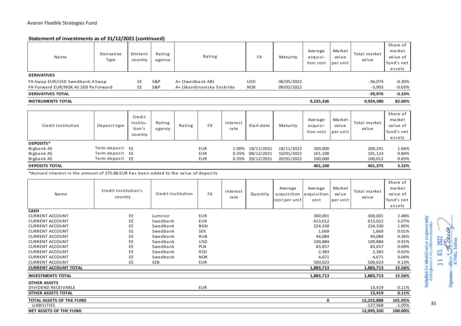#### **Statement of investments as of 31/12/2021 (continued)**

| Avaron Flexible Strategies Fund<br>Statement of investments as of 31/12/2021 (continued)                                                                                |                                                       |                                         |                                                                     |                    |                                                                                  |                  |                                              |                                         |                                                             |                             |                                                             |                                                        |
|-------------------------------------------------------------------------------------------------------------------------------------------------------------------------|-------------------------------------------------------|-----------------------------------------|---------------------------------------------------------------------|--------------------|----------------------------------------------------------------------------------|------------------|----------------------------------------------|-----------------------------------------|-------------------------------------------------------------|-----------------------------|-------------------------------------------------------------|--------------------------------------------------------|
| Name                                                                                                                                                                    | Derivative<br>Type                                    | Emitent<br>country                      | Rating<br>agency                                                    |                    | Rating                                                                           |                  | <b>FX</b>                                    | Maturity                                | Average<br>acquisi-<br>tion cost                            | Market<br>value<br>per unit | Total market<br>value                                       | Share of<br>market<br>value of<br>fund's net<br>assets |
| <b>DERIVATIVES</b><br>FX-Swap EUR/USD Swedbank A Swap<br>FX-Forward EUR/NOK AS SEB Pa Forward                                                                           |                                                       | EE<br>EE                                | <b>S&amp;P</b><br><b>S&amp;P</b>                                    | A+ (Swedbank AB)   | A+ (Skandinaviska Enskilda                                                       |                  | <b>USD</b><br><b>NOK</b>                     | 06/05/2022<br>09/02/2022                |                                                             |                             |                                                             | $-0.30%$<br>$-0.03%$                                   |
| <b>DERIVATIVES TOTAL</b>                                                                                                                                                |                                                       |                                         |                                                                     |                    |                                                                                  |                  |                                              |                                         |                                                             |                             | $-39,976$                                                   | $-0.33%$                                               |
| <b>INSTRUMENTS TOTAL</b>                                                                                                                                                |                                                       |                                         |                                                                     |                    |                                                                                  |                  |                                              |                                         | 9,225,336                                                   |                             | 9,924,380                                                   | 82.06%                                                 |
|                                                                                                                                                                         |                                                       |                                         |                                                                     |                    |                                                                                  |                  |                                              |                                         |                                                             |                             |                                                             |                                                        |
| Credit Institution                                                                                                                                                      | Deposit type                                          | Credit<br>Institu-<br>tion's<br>country | Rating<br>agency                                                    | Rating             | <b>FX</b>                                                                        | Interest<br>rate | Start date                                   | Maturity                                | Average<br>acquisi-<br>tion cost                            | Market<br>value<br>per unit | Total market<br>value                                       | Share of<br>market<br>value of<br>fund's net<br>assets |
| DEPOSITS*<br>Bigbank AS<br>Bigbank AS<br>Bigbank AS                                                                                                                     | Term deposit EE<br>Term deposit EE<br>Term deposit EE |                                         |                                                                     |                    | <b>EUR</b><br><b>EUR</b><br><b>EUR</b>                                           | 1.00%<br>0.35%   | 18/11/2021<br>08/12/2021<br>0.35% 20/12/2021 | 18/11/2022<br>10/01/2022<br>20/01/2022  | 200,000<br>101,100<br>100,000                               |                             | 200,241<br>101,123<br>100,012                               | 1.66%<br>0.84%<br>0.83%                                |
| <b>DEPOSITS TOTAL</b>                                                                                                                                                   |                                                       |                                         |                                                                     |                    |                                                                                  |                  |                                              |                                         | 401,100                                                     |                             | 401,375                                                     | 3.32%                                                  |
| *Accrued interest in the amount of 275.88 EUR has been added to the value of deposits                                                                                   |                                                       |                                         |                                                                     |                    |                                                                                  |                  |                                              |                                         |                                                             |                             |                                                             |                                                        |
| Name                                                                                                                                                                    | Credit Institution's<br>country                       |                                         |                                                                     | Credit Institution | <b>FX</b>                                                                        | Interest<br>rate | Quantity                                     | Average<br>acquisition<br>cost per unit | Average<br>acquisition<br>cost                              | Market<br>value<br>per unit | Total market<br>value                                       | Share of<br>market<br>value of<br>fund's net<br>assets |
| <b>CASH</b><br><b>CURRENT ACCOUNT</b><br><b>CURRENT ACCOUNT</b><br><b>CURRENT ACCOUNT</b><br><b>CURRENT ACCOUNT</b><br><b>CURRENT ACCOUNT</b><br><b>CURRENT ACCOUNT</b> |                                                       | EE<br>EE<br>EE<br>EE<br>EE<br>EE        | Luminor<br>Swedbank<br>Swedbank<br>Swedbank<br>Swedbank<br>Swedbank |                    | <b>EUR</b><br><b>EUR</b><br><b>BGN</b><br><b>SEK</b><br><b>RUB</b><br><b>USD</b> |                  |                                              |                                         | 300,001<br>613,012<br>224,330<br>1,669<br>44,084<br>109,884 |                             | 300,001<br>613,012<br>224,330<br>1,669<br>44,084<br>109,884 | 2.48%<br>5.07%<br>1.85%<br>0.01%<br>0.36%<br>0.91%     |
| <b>CURRENT ACCOUNT</b><br><b>CURRENT ACCOUNT</b><br><b>CURRENT ACCOUNT</b><br><b>CURRENT ACCOUNT</b><br><b>CURRENT ACCOUNT TOTAL</b>                                    |                                                       | EE<br>EE<br>EE<br>EE                    | Swedbank<br>Swedbank<br>Swedbank<br><b>SEB</b>                      |                    | <b>PLN</b><br><b>RSD</b><br><b>NOK</b><br><b>EUR</b>                             |                  |                                              |                                         | 83,657<br>2,383<br>4,671<br>500,023<br>1.883.713            |                             | 83,657<br>2,383<br>4,671<br>500,023<br>1.883.713            | 0.69%<br>0.02%<br>0.04%<br>4.13%<br>15.56%             |
|                                                                                                                                                                         |                                                       |                                         |                                                                     |                    |                                                                                  |                  |                                              |                                         |                                                             |                             |                                                             |                                                        |
| <b>INVESTMENTS TOTAL</b>                                                                                                                                                |                                                       |                                         |                                                                     |                    |                                                                                  |                  |                                              |                                         | 1,883,713                                                   |                             | 1,883,713                                                   | 15.56%                                                 |
| <b>OTHER ASSETS</b><br>DIVIDEND RECEIVABLE<br><b>OTHER ASSETS TOTAL</b>                                                                                                 |                                                       |                                         |                                                                     |                    | <b>EUR</b>                                                                       |                  |                                              |                                         |                                                             |                             | 13,419<br>13,419                                            | 0.11%<br>0.11%                                         |
| TOTAL ASSETS OF THE FUND                                                                                                                                                |                                                       |                                         |                                                                     |                    |                                                                                  |                  |                                              |                                         | 0                                                           |                             | 12,222,888                                                  | 101.05%                                                |
| <b>LIABILITIES</b>                                                                                                                                                      |                                                       |                                         |                                                                     |                    |                                                                                  |                  |                                              |                                         |                                                             |                             | $-127,568$                                                  | $-1.05%$                                               |
| NET ASSETS OF THE FUND                                                                                                                                                  |                                                       |                                         |                                                                     |                    |                                                                                  |                  |                                              |                                         |                                                             |                             | 12,095,320                                                  | 100.00%                                                |

Initialled for identification purposes only<br>Allkirjastatud identifitseerimiseks  $7077$ Signature / allkiri SAAC<br>KPMG, Tallinn 31 03.

35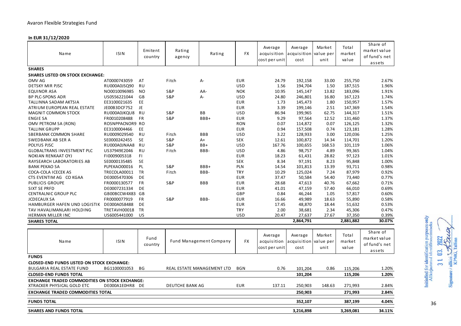| Avaron Flexible Strategies Fund                       |                 |                    |                  |                            |            |                                         |                                |                             |                          |                                                     |
|-------------------------------------------------------|-----------------|--------------------|------------------|----------------------------|------------|-----------------------------------------|--------------------------------|-----------------------------|--------------------------|-----------------------------------------------------|
| In EUR 31/12/2020<br>Name                             | <b>ISIN</b>     | Emitent<br>country | Rating<br>agency | Rating                     | FX         | Average<br>acquisition<br>cost per unit | Average<br>acquisition<br>cost | Market<br>value per<br>unit | Total<br>market<br>value | Share of<br>market value<br>of fund's net<br>assets |
| <b>SHARES</b>                                         |                 |                    |                  |                            |            |                                         |                                |                             |                          |                                                     |
| <b>SHARES LISTED ON STOCK EXCHANGE:</b>               |                 |                    |                  |                            |            |                                         |                                |                             |                          |                                                     |
| OMV AG                                                | AT0000743059    | AT                 | Fitch            | А-                         | <b>EUR</b> | 24.79                                   | 192,158                        | 33.00                       | 255,750                  | 2.67%                                               |
| DETSKY MIR PJSC                                       | RU000A0JSQ90    | <b>RU</b>          |                  |                            | <b>USD</b> | 1.56                                    | 194,704                        | 1.50                        | 187,515                  | 1.96%                                               |
| EQUINOR ASA                                           | NO0010096985    | NO                 | S&P              | AA-                        | <b>NOK</b> | 10.95                                   | 145,147                        | 13.82                       | 183,096                  | 1.91%                                               |
| <b>BP PLC-SPONS ADR</b>                               | US0556221044    | GB                 | S&P              | A-                         | <b>USD</b> | 24.80                                   | 246,801                        | 16.80                       | 167,123                  | 1.74%                                               |
| TALLINNA SADAM AKTSIA                                 | EE3100021635    | EE                 |                  |                            | <b>EUR</b> | 1.73                                    | 145,473                        | 1.80                        | 150,957                  | 1.57%                                               |
| ATRIUM EUROPEAN REAL ESTATE                           | JE00B3DCF752    | JE                 |                  |                            | <b>EUR</b> | 3.39                                    | 199,146                        | 2.51                        | 147,369                  | 1.54%                                               |
| <b>MAGNIT COMMON STOCK</b>                            | RU000A0JKQU8    | RU                 | <b>S&amp;P</b>   | BВ                         | <b>USD</b> | 86.94                                   | 199,965                        | 62.75                       | 144,317                  | 1.51%                                               |
| <b>ENGIE SA</b>                                       | FR0010208488    | <b>FR</b>          | S&P              | BBB+                       | <b>EUR</b> | 9.29                                    | 97,564                         | 12.52                       | 131,460                  | 1.37%                                               |
| OMV PETROM SA (RON)                                   | ROSNPPACNOR9 RO |                    |                  |                            | <b>RON</b> | 0.07                                    | 114,872                        | 0.07                        | 126,125                  | 1.32%                                               |
| <b>TALLINK GRUPP</b>                                  | EE3100004466    | EE                 |                  |                            | <b>EUR</b> | 0.94                                    | 157,508                        | 0.74                        | 123,181                  | 1.28%                                               |
| SBERBANK COMMON SHARE                                 | RU0009029540    | <b>RU</b>          | Fitch            | BBB                        | USD        | 3.22                                    | 128,933                        | 3.00                        | 120,036                  | 1.25%                                               |
| SWEDBANK AB SER A                                     | SE0000242455    | SE                 | S&P              | A+                         | <b>SEK</b> | 12.61                                   | 100,872                        | 14.34                       | 114,701                  | 1.20%                                               |
| POLYUS PJSC                                           | RU000A0JNAA8    | RU                 | <b>S&amp;P</b>   | BB+                        | <b>USD</b> | 167.76                                  | 100,655                        | 168.53                      | 101,119                  | 1.06%                                               |
| <b>GLOBALTRANS INVESTMENT PLC</b>                     | US37949E2046    | RU                 | Fitch            | BBB-                       | <b>USD</b> | 4.86                                    | 98,757                         | 4.89                        | 99,365                   | 1.04%                                               |
| <b>NOKIAN RENKAAT OYJ</b>                             | F10009005318    | FI.                |                  |                            | <b>EUR</b> | 18.23                                   | 61,431                         | 28.82                       | 97,123                   | 1.01%                                               |
| RAYSEARCH LABORATORIES AB                             | SE0000135485    | SE                 |                  |                            | <b>SEK</b> | 8.34                                    | 97,191                         | 8.23                        | 95,848                   | 1.00%                                               |
| <b>BANK PEKAO SA</b>                                  | PLPEKAO00016    | PL                 | S&P              | BBB+                       | <b>PLN</b> | 14.54                                   | 101,813                        | 13.39                       | 93,711                   | 0.98%                                               |
| COCA-COLA I CECEK AS                                  | TRECOLA00011    | <b>TR</b>          | Fitch            | BBB-                       | <b>TRY</b> | 10.29                                   | 125,024                        | 7.24                        | 87,979                   | 0.92%                                               |
| CTS EVENTIM AG CO KGAA                                | DE0005470306    | DE                 |                  |                            | <b>EUR</b> | 37.47                                   | 50,584                         | 54.40                       | 73,440                   | 0.77%                                               |
| PUBLICIS GROUPE                                       | FR0000130577    | FR                 | <b>S&amp;P</b>   | BBB                        | <b>EUR</b> | 28.68                                   | 47,613                         | 40.76                       | 67,662                   | 0.71%                                               |
| SIXT SE PRFD                                          | DE0007231334    | DE                 |                  |                            | <b>EUR</b> | 41.01                                   | 47,159                         | 57.40                       | 66,010                   | 0.69%                                               |
| <b>CENTRALNIC GROUP PLC</b>                           | GB00BCCW4X83    | GB                 |                  |                            | GBP        | 0.84                                    | 46,244                         | 1.05                        | 57,817                   | 0.60%                                               |
| <b>JCDECAUX SA</b>                                    | FR0000077919    | FR                 | <b>S&amp;P</b>   | BBB-                       | <b>EUR</b> | 16.66                                   | 49,989                         | 18.63                       | 55,890                   | 0.58%                                               |
| HAMBURGER HAFEN UND LOGISTIK                          | DE000A0S8488    | DE                 |                  |                            | <b>EUR</b> | 17.45                                   | 48,870                         | 18.44                       | 51,632                   | 0.53%                                               |
| TAV HAVALIMANLARI HOLDING                             | TRETAVH00018    | TR                 |                  |                            | <b>TRY</b> | 2.00                                    | 38,681                         | 2.34                        | 45,306                   | 0.47%                                               |
| HERMAN MILLER INC                                     | US6005441000    | US                 |                  |                            | <b>USD</b> | 20.47                                   | 27,637                         | 27.67                       | 37,350                   | 0.39%                                               |
| <b>SHARES TOTAL</b>                                   |                 |                    |                  |                            |            |                                         | 2,864,791                      |                             | 2,881,882                | 30.07%                                              |
|                                                       |                 |                    |                  |                            |            |                                         |                                |                             |                          |                                                     |
|                                                       |                 |                    |                  |                            |            | Average                                 | Average                        | Market                      | Total                    | Share of                                            |
| Name                                                  | <b>ISIN</b>     | Fund               |                  | Fund Management Company    | FX         | acquisition                             | acquisition                    | value per                   | market                   | market value                                        |
|                                                       |                 | country            |                  |                            |            | cost per unit                           | cost                           | unit                        | value                    | of fund's net                                       |
|                                                       |                 |                    |                  |                            |            |                                         |                                |                             |                          | assets                                              |
| <b>FUNDS</b>                                          |                 |                    |                  |                            |            |                                         |                                |                             |                          |                                                     |
| <b>CLOSED-END FUNDS LISTED ON STOCK EXCHANGE:</b>     |                 |                    |                  |                            |            |                                         |                                |                             |                          |                                                     |
| BULGARIA REAL ESTATE FUND                             | BG1100001053    | ВG                 |                  | REAL ESTATE MANAGEMENT LTD | <b>BGN</b> | 0.76                                    | 101,204                        | 0.86                        | 115,206                  | 1.20%                                               |
| <b>CLOSED-END FUNDS TOTAL</b>                         |                 |                    |                  |                            |            |                                         | 101,204                        |                             | 115,206                  | 1.20%                                               |
| <b>EXCHANGE TRADED COMMODITIES ON STOCK EXCHANGE:</b> |                 |                    |                  |                            |            |                                         |                                |                             |                          |                                                     |
| XTRACKER PHYSICAL GOLD ETC                            | DE000A1E0HR8 DE |                    | DEUTCHE BANK AG  |                            | <b>EUR</b> | 137.11                                  | 250,903                        | 148.63                      | 271,993                  | 2.84%                                               |
| <b>EXCHANGE TRADED COMMODITIES TOTAL</b>              |                 |                    |                  |                            |            |                                         | 250,903                        |                             | 271,993                  | 2.84%                                               |
|                                                       |                 |                    |                  |                            |            |                                         |                                |                             |                          |                                                     |
| <b>FUNDS TOTAL</b>                                    |                 |                    |                  |                            |            |                                         | 352,107                        |                             | 387,199                  | 4.04%                                               |
| <b>SHARES AND FUNDS TOTAL</b>                         |                 |                    |                  |                            |            |                                         | 3,216,898                      |                             | 3,269,081                | 34.11%                                              |

# Initialled for identification purposes only<br>Allkirjastatud identifitseerimiseks  $\alpha$  $7077$ Signature / allkiri SADA<br>KPMG, Tallinn 31 03.

36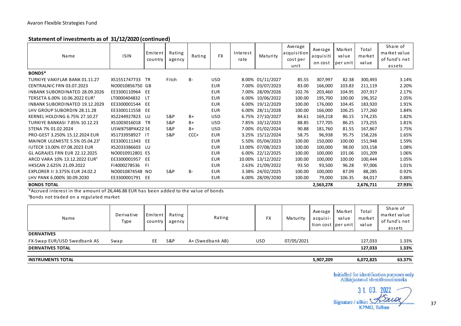### **Statement of investments as of 31/12/2020 (continued)**

| Avaron Flexible Strategies Fund                                      |                        |                    |                  |        |            |                  |                   |                                            |                                 |                            |                          |                                                     |
|----------------------------------------------------------------------|------------------------|--------------------|------------------|--------|------------|------------------|-------------------|--------------------------------------------|---------------------------------|----------------------------|--------------------------|-----------------------------------------------------|
|                                                                      |                        |                    |                  |        |            |                  |                   |                                            |                                 |                            |                          |                                                     |
| Statement of investments as of 31/12/2020 (continued)<br><b>Name</b> | <b>ISIN</b>            | Emitent<br>country | Rating<br>agency | Rating | <b>FX</b>  | Interest<br>rate | Maturity          | Average<br>acquisition<br>cost per<br>unit | Average<br>acquisiti<br>on cost | Market<br>value<br>perunit | Total<br>market<br>value | Share of<br>market value<br>of fund's net<br>assets |
| BONDS*                                                               |                        |                    |                  |        |            |                  |                   |                                            |                                 |                            |                          |                                                     |
| TURKIYE VAKIFLAR BANK 01.11.27                                       | XS1551747733           | TR                 | Fitch            | B-     | USD.       |                  | 8.00% 01/11/2027  | 85.55                                      | 307,997                         | 82.38                      | 300,493                  | 3.14%                                               |
| CENTRALNIC FRN 03.07.2023                                            | NO0010856750 GB        |                    |                  |        | <b>EUR</b> |                  | 7.00% 03/07/2023  | 83.00                                      | 166,000                         | 103.83                     | 211,119                  | 2.20%                                               |
| <b>INBANK SUBORDINATED 28.09.2026</b>                                | EE3300110964           | EE                 |                  |        | <b>EUR</b> |                  | 7.00% 28/09/2026  | 102.76                                     | 203,460                         | 104.95                     | 207,917                  | 2.17%                                               |
| TERSETA 6.00% 10.06.2022 EUR <sup>1</sup>                            | LT0000404832           | LT                 |                  |        | <b>EUR</b> |                  | 6.00% 10/06/2022  | 100.00                                     | 195,700                         | 100.00                     | 196,352                  | 2.05%                                               |
| <b>INBANK SUBORDINATED 19.12.2029</b>                                | EE3300001544           | EE                 |                  |        | <b>EUR</b> |                  | 6.00% 19/12/2029  | 100.00                                     | 176,000                         | 104.45                     | 183,920                  | 1.91%                                               |
| LHV GROUP SUBORDIN 28.11.28                                          | EE3300111558           | EE                 |                  |        | <b>EUR</b> |                  | 6.00% 28/11/2028  | 100.00                                     | 166,000                         | 106.25                     | 177,260                  | 1.84%                                               |
| KERNEL HOLDING 6.75% 27.10.27                                        | XS2244927823           | LU                 | S&P              | B+     | <b>USD</b> |                  | 6.75% 27/10/2027  | 84.61                                      | 169,218                         | 86.15                      | 174,235                  | 1.82%                                               |
| <b>TURKIYE BANKASI 7.85% 10.12.23</b>                                | XS1003016018           | - TR               | <b>S&amp;P</b>   | B+     | <b>USD</b> |                  | 7.85% 10/12/2023  | 88.85                                      | 177,705                         | 86.25                      | 173,255                  | 1.81%                                               |
| STENA 7% 01.02.2024                                                  | <b>USW8758PAK22 SE</b> |                    | S&P              | B+     | <b>USD</b> |                  | 7.00% 01/02/2024  | 90.88                                      | 181,760                         | 81.55                      | 167,867                  | 1.75%                                               |
| PRO-GEST 3.250% 15.12.2024 EUR                                       | XS1733958927           | -IT                | <b>S&amp;P</b>   | CCC+   | <b>EUR</b> |                  | 3.25% 15/12/2024  | 58.75                                      | 96,938                          | 95.75                      | 158,226                  | 1.65%                                               |
| MAINOR ULEMISTE 5.5% 05.04.23 <sup>1</sup>                           | EE3300111343           | EE                 |                  |        | <b>EUR</b> |                  | 5.50% 05/04/2023  | 100.00                                     | 150,000                         | 100.00                     | 151,948                  | 1.59%                                               |
| <b>IUTECR 13.00% 07.08.2023 EUR</b>                                  | XS2033386603           | LU                 |                  |        | <b>EUR</b> |                  | 13.00% 07/08/2023 | 100.00                                     | 100,000                         | 98.00                      | 103,158                  | 1.08%                                               |
| <b>GL AGRAJES FRN EUR 22.12.2025</b>                                 | NO0010912801 ES        |                    |                  |        | <b>EUR</b> |                  | 6.00% 22/12/2025  | 100.00                                     | 100,000                         | 101.06                     | 101,209                  | 1.06%                                               |
| ARCO VARA 10% 13.12.2022 EUR <sup>1</sup>                            | EE3300001957           | EE                 |                  |        | <b>EUR</b> |                  | 10.00% 13/12/2022 | 100.00                                     | 100,000                         | 100.00                     | 100,444                  | 1.05%                                               |
| HKSCAN 2.625% 21.09.2022                                             | F14000278536           | FΙ                 |                  |        | <b>EUR</b> |                  | 2.63% 21/09/2022  | 93.50                                      | 93,500                          | 96.28                      | 97,006                   | 1.01%                                               |
| EXPLORER II 3.375% EUR 24.02.2                                       | NO0010874548 NO        |                    | S&P              | B-     | <b>EUR</b> |                  | 3.38% 24/02/2025  | 100.00                                     | 100,000                         | 87.09                      | 88,285                   | 0.92%                                               |
| LHV PANK 6.000% 30.09.2030                                           | EE3300001791           | EE                 |                  |        | <b>EUR</b> |                  | 6.00% 28/09/2030  | 100.00                                     | 79,000                          | 106.35                     | 84,017                   | 0.88%                                               |
| <b>BONDS TOTAL</b>                                                   |                        |                    |                  |        |            |                  |                   |                                            | 2,563,278                       |                            | 2,676,711                | 27.93%                                              |

| <b>BONDS TOTAL</b>                                                                                                              |                    |                    |                  |                  |            |            | 2,563,278                                 |                 | 2,676,711                | 27.93%                                              |
|---------------------------------------------------------------------------------------------------------------------------------|--------------------|--------------------|------------------|------------------|------------|------------|-------------------------------------------|-----------------|--------------------------|-----------------------------------------------------|
| *Accrued interest in the amount of 26,446.88 EUR has been added to the value of bonds<br>Bonds not traded on a regulated market |                    |                    |                  |                  |            |            |                                           |                 |                          |                                                     |
| <b>Name</b>                                                                                                                     | Derivative<br>Type | Emitent<br>country | Rating<br>agency | Rating           | <b>FX</b>  | Maturity   | Average<br>acquisi-<br>tion cost per unit | Market<br>value | Total<br>market<br>value | Share of<br>market value<br>of fund's net<br>assets |
| <b>DERIVATIVES</b>                                                                                                              |                    |                    |                  |                  |            |            |                                           |                 |                          |                                                     |
| FX-Swap EUR/USD Swedbank AS                                                                                                     | Swap               | EE.                | S&P              | A+ (Swedbank AB) | <b>USD</b> | 07/05/2021 |                                           |                 | 127,033                  | 1.33%                                               |
| <b>DERIVATIVES TOTAL</b>                                                                                                        |                    |                    |                  |                  |            |            |                                           |                 | 127,033                  | 1.33%                                               |
| <b>INSTRUMENTS TOTAL</b>                                                                                                        |                    |                    |                  |                  |            |            | 5,907,209                                 |                 | 6,072,825                | 63.37%                                              |

31.03. Signature / allkiri  $1.1.1.1$ **KPMG, Tallinn**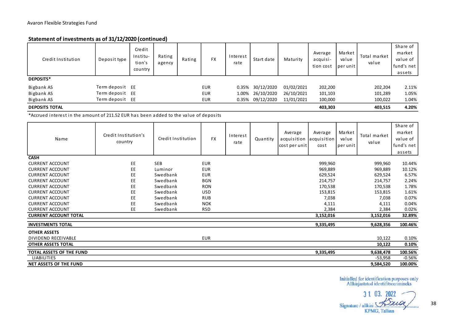### **Statement of investments as of 31/12/2020 (continued)**

| Statement of investments as of 31/12/2020 (continued) |                 |                                         |                  |        |            |                  |                  |            |                                  |                            |                       |                                                        |
|-------------------------------------------------------|-----------------|-----------------------------------------|------------------|--------|------------|------------------|------------------|------------|----------------------------------|----------------------------|-----------------------|--------------------------------------------------------|
| Credit Institution                                    | Deposit type    | Credit<br>Institu-<br>tion's<br>country | Rating<br>agency | Rating | <b>FX</b>  | Interest<br>rate | Start date       | Maturity   | Average<br>acquisi-<br>tion cost | Market<br>value<br>perunit | Total market<br>value | Share of<br>market<br>value of<br>fund's net<br>assets |
| DEPOSITS*                                             |                 |                                         |                  |        |            |                  |                  |            |                                  |                            |                       |                                                        |
| Bigbank AS                                            | Term deposit EE |                                         |                  |        | <b>EUR</b> | 0.35%            | 30/12/2020       | 01/02/2021 | 202,200                          |                            | 202,204               | 2.11%                                                  |
| Bigbank AS                                            | Term deposit EE |                                         |                  |        | <b>EUR</b> | 1.00%            | 26/10/2020       | 26/10/2021 | 101,103                          |                            | 101,289               | 1.05%                                                  |
| Bigbank AS                                            | Term deposit EE |                                         |                  |        | <b>EUR</b> |                  | 0.35% 09/12/2020 | 11/01/2021 | 100,000                          |                            | 100,022               | 1.04%                                                  |
| <b>DEPOSITS TOTAL</b>                                 |                 |                                         |                  |        |            |                  |                  |            | 403,303                          |                            | 403,515               | 4.20%                                                  |

| <b>DEPOSITS TOTAL</b>                                                                 |                                 |                    |            |                  |          |                                         | 403,303                        |                            | 403,515               | 4.20%                                                  |
|---------------------------------------------------------------------------------------|---------------------------------|--------------------|------------|------------------|----------|-----------------------------------------|--------------------------------|----------------------------|-----------------------|--------------------------------------------------------|
| *Accrued interest in the amount of 211.52 EUR has been added to the value of deposits |                                 |                    |            |                  |          |                                         |                                |                            |                       |                                                        |
| <b>Name</b>                                                                           | Credit Institution's<br>country | Credit Institution | <b>FX</b>  | Interest<br>rate | Quantity | Average<br>acquisition<br>cost per unit | Average<br>acquisition<br>cost | Market<br>value<br>perunit | Total market<br>value | Share of<br>market<br>value of<br>fund's net<br>assets |
| <b>CASH</b>                                                                           |                                 |                    |            |                  |          |                                         |                                |                            |                       |                                                        |
| <b>CURRENT ACCOUNT</b>                                                                | EE                              | <b>SEB</b>         | <b>EUR</b> |                  |          |                                         | 999,960                        |                            | 999,960               | 10.44%                                                 |
| <b>CURRENT ACCOUNT</b>                                                                | EE                              | Luminor            | <b>EUR</b> |                  |          |                                         | 969,889                        |                            | 969,889               | 10.12%                                                 |
| <b>CURRENT ACCOUNT</b>                                                                | EE                              | Swedbank           | <b>EUR</b> |                  |          |                                         | 629,524                        |                            | 629,524               | 6.57%                                                  |
| <b>CURRENT ACCOUNT</b>                                                                | EE                              | Swedbank           | <b>BGN</b> |                  |          |                                         | 214,757                        |                            | 214,757               | 2.24%                                                  |
| <b>CURRENT ACCOUNT</b>                                                                | EE                              | Swedbank           | <b>RON</b> |                  |          |                                         | 170,538                        |                            | 170,538               | 1.78%                                                  |
| <b>CURRENT ACCOUNT</b>                                                                | EE                              | Swedbank           | <b>USD</b> |                  |          |                                         | 153,815                        |                            | 153,815               | 1.61%                                                  |
| <b>CURRENT ACCOUNT</b>                                                                | EE                              | Swedbank           | <b>RUB</b> |                  |          |                                         | 7,038                          |                            | 7,038                 | 0.07%                                                  |
| <b>CURRENT ACCOUNT</b>                                                                | EE                              | Swedbank           | <b>NOK</b> |                  |          |                                         | 4,111                          |                            | 4,111                 | 0.04%                                                  |
| <b>CURRENT ACCOUNT</b>                                                                | EE.                             | Swedbank           | <b>RSD</b> |                  |          |                                         | 2,384                          |                            | 2,384                 | 0.02%                                                  |
| <b>CURRENT ACCOUNT TOTAL</b>                                                          |                                 |                    |            |                  |          |                                         | 3,152,016                      |                            | 3,152,016             | 32.89%                                                 |
| <b>INVESTMENTS TOTAL</b>                                                              |                                 |                    |            |                  |          |                                         | 9,335,495                      |                            | 9,628,356             | 100.46%                                                |
| <b>OTHER ASSETS</b>                                                                   |                                 |                    |            |                  |          |                                         |                                |                            |                       |                                                        |
| DIVIDEND RECEIVABLE                                                                   |                                 |                    | <b>EUR</b> |                  |          |                                         |                                |                            | 10,122                | 0.10%                                                  |
| <b>OTHER ASSETS TOTAL</b>                                                             |                                 |                    |            |                  |          |                                         |                                |                            | 10,122                | 0.10%                                                  |
| <b>TOTAL ASSETS OF THE FUND</b>                                                       |                                 |                    |            |                  |          |                                         | 9,335,495                      |                            | 9,638,478             | 100.56%                                                |
| <b>LIABILITIES</b>                                                                    |                                 |                    |            |                  |          |                                         |                                |                            | $-53,958$             | $-0.56%$                                               |
| NET ASSETS OF THE FUND                                                                |                                 |                    |            |                  |          |                                         |                                |                            | 9,584,520             | 100.00%                                                |

 $31$ auo Signature / allkiri **KPMG, Tallinn**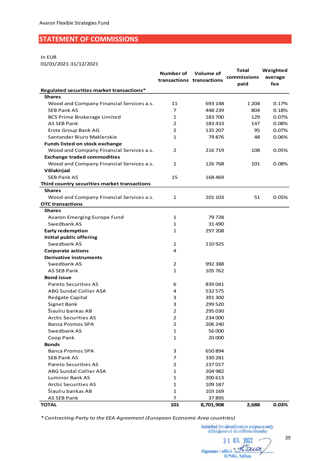## <span id="page-38-0"></span>**STATEMENT OF COMMISSIONS**

#### In EUR

01/01/2021-31/12/2021

|                                              | Number of      | Volume of<br>transactions transactions | Total<br>commissions | Weighted<br>average |
|----------------------------------------------|----------------|----------------------------------------|----------------------|---------------------|
|                                              |                |                                        | paid                 | fee                 |
| Regulated securities market transactions*    |                |                                        |                      |                     |
| <b>Shares</b>                                |                |                                        |                      |                     |
| Wood and Company Financial Services a.s.     | 11             | 693 148                                | 1 2 0 4              | 0.17%               |
| <b>SEB Pank AS</b>                           | 7              | 448 239                                | 804                  | 0.18%               |
| <b>BCS Prime Brokerage Limited</b>           | $\mathbf{1}$   | 183700                                 | 129                  | 0.07%               |
| AS SEB Pank                                  | 2              | 183 433                                | 147                  | 0.08%               |
| Erste Group Bank AG                          | 2              | 135 207                                | 95                   | 0.07%               |
| Santander Biuro Maklerskie                   | $\mathbf{1}$   | 79876                                  | 48                   | 0.06%               |
| <b>Funds listed on stock exchange</b>        |                |                                        |                      |                     |
| Wood and Company Financial Services a.s.     | 2              | 216 719                                | 108                  | 0.05%               |
| <b>Exchange traded commodities</b>           |                |                                        |                      |                     |
| Wood and Company Financial Services a.s.     | $\mathbf{1}$   | 126 768                                | 101                  | 0.08%               |
| Võlakirjad                                   |                |                                        |                      |                     |
| <b>SEB Pank AS</b>                           | 15             | 168469                                 |                      |                     |
| Third country securities market transactions |                |                                        |                      |                     |
| <b>Shares</b>                                |                |                                        |                      |                     |
| Wood and Company Financial Services a.s.     | 1              | 101 103                                | 51                   | 0.05%               |
| <b>OTC transactions</b>                      |                |                                        |                      |                     |
| <b>Shares</b>                                |                |                                        |                      |                     |
| Avaron Emerging Europe Fund                  | 1              | 79728                                  |                      |                     |
| Swedbank AS                                  | 1              | 31490                                  |                      |                     |
| <b>Early redemption</b>                      | $\mathbf{1}$   | 297 208                                |                      |                     |
| Initial public offering                      |                |                                        |                      |                     |
| Swedbank AS                                  | 1              | 110925                                 |                      |                     |
| <b>Corporate actions</b>                     | 4              |                                        |                      |                     |
| <b>Derivative instruments</b>                |                |                                        |                      |                     |
| Swedbank AS                                  | 2              | 992 388                                |                      |                     |
| <b>AS SEB Pank</b>                           | $\mathbf{1}$   | 105 762                                |                      |                     |
| <b>Bond issue</b>                            |                |                                        |                      |                     |
| <b>Pareto Securities AS</b>                  | 6              | 839041                                 |                      |                     |
| <b>ABG Sundal Collier ASA</b>                | 4              | 532 575                                |                      |                     |
| Redgate Capital                              | 3              | 391 300                                |                      |                     |
| Signet Bank                                  | 3              | 299 520                                |                      |                     |
| Šiauliu bankas AB                            | $\overline{2}$ | 295 030                                |                      |                     |
|                                              |                |                                        |                      |                     |
| <b>Arctic Securities AS</b>                  | $\overline{2}$ | 234 000                                |                      |                     |
| <b>Banca Promos SPA</b>                      | 2              | 206 240                                |                      |                     |
| Swedbank AS                                  | 1              | 56 000                                 |                      |                     |
| Coop Pank                                    | 1              | 20 000                                 |                      |                     |
| <b>Bonds</b>                                 |                |                                        |                      |                     |
| <b>Banca Promos SPA</b>                      | 3              | 650 894                                |                      |                     |
| <b>SEB Pank AS</b>                           | 7              | 330 281                                |                      |                     |
| <b>Pareto Securities AS</b>                  | 2              | 237017                                 |                      |                     |
| ABG Sundal Collier ASA                       | 1              | 204 982                                |                      |                     |
| <b>Luminor Bank AS</b>                       | 1              | 200 613                                |                      |                     |
| Arctic Securities AS                         | 1              | 109 187                                |                      |                     |
| Šiauliu bankas AB                            | 1              | 103 169                                |                      |                     |
| AS SEB Pank                                  | 7              | 37895                                  |                      |                     |
| TOTAL                                        | 101            | 8,701,908                              | 2,688                | 0.03%               |

*\* Contracting Party to the EEA Agreement (European Economic Area countries)*

3 1 03. 2022 Signature / allkiri

39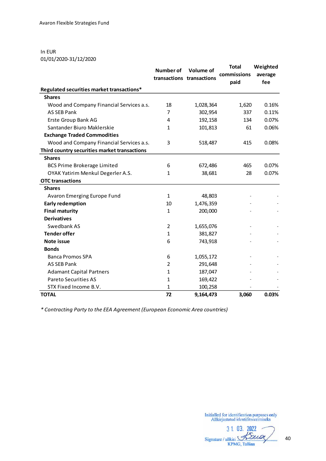In EUR 01/01/2020-31/12/2020

|                                              | Number of      | Volume of<br>transactions transactions | <b>Total</b><br>commissions<br>paid | Weighted<br>average<br>fee |
|----------------------------------------------|----------------|----------------------------------------|-------------------------------------|----------------------------|
| Regulated securities market transactions*    |                |                                        |                                     |                            |
| <b>Shares</b>                                |                |                                        |                                     |                            |
| Wood and Company Financial Services a.s.     | 18             | 1,028,364                              | 1,620                               | 0.16%                      |
| <b>AS SEB Pank</b>                           | $\overline{7}$ | 302,954                                | 337                                 | 0.11%                      |
| Erste Group Bank AG                          | 4              | 192,158                                | 134                                 | 0.07%                      |
| Santander Biuro Maklerskie                   | $\mathbf{1}$   | 101,813                                | 61                                  | 0.06%                      |
| <b>Exchange Traded Commodities</b>           |                |                                        |                                     |                            |
| Wood and Company Financial Services a.s.     | 3              | 518,487                                | 415                                 | 0.08%                      |
| Third country securities market transactions |                |                                        |                                     |                            |
| <b>Shares</b>                                |                |                                        |                                     |                            |
| <b>BCS Prime Brokerage Limited</b>           | 6              | 672,486                                | 465                                 | 0.07%                      |
| OYAK Yatirim Menkul Degerler A.S.            | $\mathbf{1}$   | 38,681                                 | 28                                  | 0.07%                      |
| <b>OTC</b> transactions                      |                |                                        |                                     |                            |
| <b>Shares</b>                                |                |                                        |                                     |                            |
| Avaron Emerging Europe Fund                  | 1              | 48,803                                 |                                     |                            |
| <b>Early redemption</b>                      | 10             | 1,476,359                              |                                     |                            |
| <b>Final maturity</b>                        | $\mathbf{1}$   | 200,000                                |                                     |                            |
| <b>Derivatives</b>                           |                |                                        |                                     |                            |
| Swedbank AS                                  | 2              | 1,655,076                              |                                     |                            |
| <b>Tender offer</b>                          | 1              | 381,827                                |                                     |                            |
| Note issue                                   | 6              | 743,918                                |                                     |                            |
| <b>Bonds</b>                                 |                |                                        |                                     |                            |
| <b>Banca Promos SPA</b>                      | 6              | 1,055,172                              |                                     |                            |
| <b>AS SEB Pank</b>                           | $\overline{2}$ | 291,648                                |                                     |                            |
| <b>Adamant Capital Partners</b>              | 1              | 187,047                                |                                     |                            |
| <b>Pareto Securities AS</b>                  | $\mathbf{1}$   | 169,422                                |                                     |                            |
| STX Fixed Income B.V.                        | $\mathbf{1}$   | 100,258                                |                                     |                            |
| <b>TOTAL</b>                                 | 72             | 9,164,473                              | 3,060                               | 0.03%                      |

*\* Contracting Party to the EEA Agreement (European Economic Area countries)*

3 1. 03. 2022 Signature / allkiri Street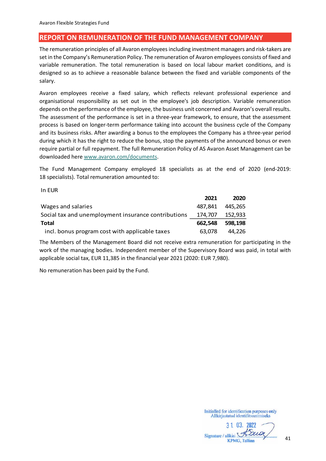### <span id="page-40-0"></span>**REPORT ON REMUNERATION OF THE FUND MANAGEMENT COMPANY**

The remuneration principles of all Avaron employees including investment managers and risk-takers are set in the Company's Remuneration Policy. The remuneration of Avaron employees consists of fixed and variable remuneration. The total remuneration is based on local labour market conditions, and is designed so as to achieve a reasonable balance between the fixed and variable components of the salary.

Avaron employees receive a fixed salary, which reflects relevant professional experience and organisational responsibility as set out in the employee's job description. Variable remuneration depends on the performance of the employee, the business unit concerned and Avaron's overall results. The assessment of the performance is set in a three-year framework, to ensure, that the assessment process is based on longer-term performance taking into account the business cycle of the Company and its business risks. After awarding a bonus to the employees the Company has a three-year period during which it has the right to reduce the bonus, stop the payments of the announced bonus or even require partial or full repayment. The full Remuneration Policy of AS Avaron Asset Management can be downloaded her[e www.avaron.com/documents.](http://www.avaron.com/documents)

The Fund Management Company employed 18 specialists as at the end of 2020 (end-2019: 18 specialists). Total remuneration amounted to:

In EUR

|                                                     | 2021    | 2020    |
|-----------------------------------------------------|---------|---------|
| Wages and salaries                                  | 487.841 | 445.265 |
| Social tax and unemployment insurance contributions | 174.707 | 152.933 |
| Total                                               | 662.548 | 598.198 |
| incl. bonus program cost with applicable taxes      | 63.078  | 44.226  |

The Members of the Management Board did not receive extra remuneration for participating in the work of the managing bodies. Independent member of the Supervisory Board was paid, in total with applicable social tax, EUR 11,385 in the financial year 2021 (2020: EUR 7,980).

No remuneration has been paid by the Fund.

3 1 03. 2022 Signature / allkiri Baung **KPMG, Tallinn**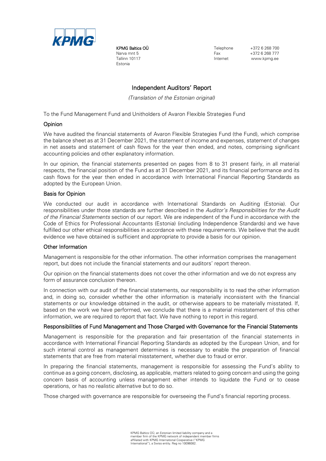

KPMG Baltics OÜ Narva mnt 5 Tallinn 10117 Estonia

Telephone  $+372$  6 268 700 Fax +372 6 268 777 www.kpmg.ee

### Independent Auditors' Report

*(Translation of the Estonian original)*

To the Fund Management Fund and Unitholders of Avaron Flexible Strategies Fund

#### Opinion

We have audited the financial statements of Avaron Flexible Strategies Fund (the Fund), which comprise the balance sheet as at 31 December 2021, the statement of income and expenses, statement of changes in net assets and statement of cash flows for the year then ended, and notes, comprising significant accounting policies and other explanatory information.

In our opinion, the financial statements presented on pages from 8 to 31 present fairly, in all material respects, the financial position of the Fund as at 31 December 2021, and its financial performance and its cash flows for the year then ended in accordance with International Financial Reporting Standards as adopted by the European Union.

#### Basis for Opinion

We conducted our audit in accordance with International Standards on Auditing (Estonia). Our responsibilities under those standards are further described in the *Auditor's Responsibilities for the Audit of the Financial Statements* section of our report. We are independent of the Fund in accordance with the Code of Ethics for Professional Accountants (Estonia) (including Independence Standards) and we have fulfilled our other ethical responsibilities in accordance with these requirements. We believe that the audit evidence we have obtained is sufficient and appropriate to provide a basis for our opinion.

#### Other Information

Management is responsible for the other information. The other information comprises the management report, but does not include the financial statements and our auditors' report thereon.

Our opinion on the financial statements does not cover the other information and we do not express any form of assurance conclusion thereon.

In connection with our audit of the financial statements, our responsibility is to read the other information and, in doing so, consider whether the other information is materially inconsistent with the financial statements or our knowledge obtained in the audit, or otherwise appears to be materially misstated. If, based on the work we have performed, we conclude that there is a material misstatement of this other information, we are required to report that fact. We have nothing to report in this regard.

#### Responsibilities of Fund Management and Those Charged with Governance for the Financial Statements

Management is responsible for the preparation and fair presentation of the financial statements in accordance with International Financial Reporting Standards as adopted by the European Union, and for such internal control as management determines is necessary to enable the preparation of financial statements that are free from material misstatement, whether due to fraud or error.

In preparing the financial statements, management is responsible for assessing the Fund's ability to continue as a going concern, disclosing, as applicable, matters related to going concern and using the going concern basis of accounting unless management either intends to liquidate the Fund or to cease operations, or has no realistic alternative but to do so.

Those charged with governance are responsible for overseeing the Fund's financial reporting process.